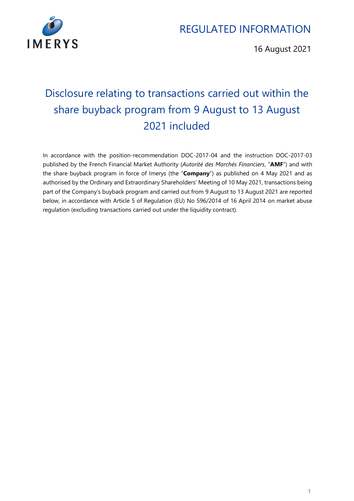

16 August 2021

# Disclosure relating to transactions carried out within the share buyback program from 9 August to 13 August 2021 included

In accordance with the position-recommendation DOC-2017-04 and the instruction DOC-2017-03 published by the French Financial Market Authority (*Autorité des Marchés Financiers*, "**AMF**") and with the share buyback program in force of Imerys (the "**Company**") as published on 4 May 2021 and as authorised by the Ordinary and Extraordinary Shareholders' Meeting of 10 May 2021, transactions being part of the Company's buyback program and carried out from 9 August to 13 August 2021 are reported below, in accordance with Article 5 of Regulation (EU) No 596/2014 of 16 April 2014 on market abuse regulation (excluding transactions carried out under the liquidity contract).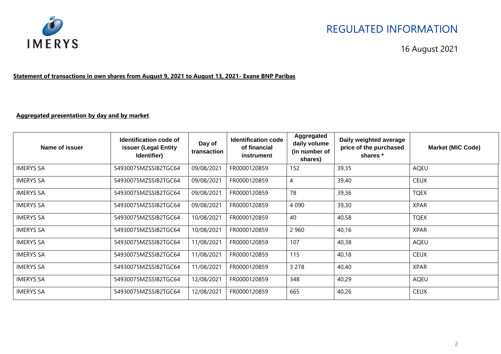

16 August 2021

**Statement of transactions in own shares from August 9, 2021 to August 13, 2021- Exane BNP Paribas** 

#### **Aggregated presentation by day and by market**

| Name of issuer   | Identification code of<br><b>issuer (Legal Entity</b><br>Identifier) | Day of<br>transaction | <b>Identification code</b><br>of financial<br>instrument | Aggregated<br>daily volume<br>(in number of<br>shares) | Daily weighted average<br>price of the purchased<br>shares * | <b>Market (MIC Code)</b> |
|------------------|----------------------------------------------------------------------|-----------------------|----------------------------------------------------------|--------------------------------------------------------|--------------------------------------------------------------|--------------------------|
| <b>IMERYS SA</b> | 54930075MZSSIB2TGC64                                                 | 09/08/2021            | FR0000120859                                             | 152                                                    | 39,35                                                        | <b>AQEU</b>              |
| <b>IMERYS SA</b> | 54930075MZSSIB2TGC64                                                 | 09/08/2021            | FR0000120859                                             | 4                                                      | 39,40                                                        | <b>CEUX</b>              |
| <b>IMERYS SA</b> | 54930075MZSSIB2TGC64                                                 | 09/08/2021            | FR0000120859                                             | 78                                                     | 39,36                                                        | <b>TQEX</b>              |
| <b>IMERYS SA</b> | 54930075MZSSIB2TGC64                                                 | 09/08/2021            | FR0000120859                                             | 4 0 9 0                                                | 39,30                                                        | <b>XPAR</b>              |
| <b>IMERYS SA</b> | 54930075MZSSIB2TGC64                                                 | 10/08/2021            | FR0000120859                                             | 40                                                     | 40,58                                                        | <b>TQEX</b>              |
| <b>IMERYS SA</b> | 54930075MZSSIB2TGC64                                                 | 10/08/2021            | FR0000120859                                             | 2 9 6 0                                                | 40,16                                                        | <b>XPAR</b>              |
| <b>IMERYS SA</b> | 54930075MZSSIB2TGC64                                                 | 11/08/2021            | FR0000120859                                             | 107                                                    | 40,38                                                        | <b>AQEU</b>              |
| <b>IMERYS SA</b> | 54930075MZSSIB2TGC64                                                 | 11/08/2021            | FR0000120859                                             | 115                                                    | 40,18                                                        | <b>CEUX</b>              |
| <b>IMERYS SA</b> | 54930075MZSSIB2TGC64                                                 | 11/08/2021            | FR0000120859                                             | 3 2 7 8                                                | 40,40                                                        | <b>XPAR</b>              |
| <b>IMERYS SA</b> | 54930075MZSSIB2TGC64                                                 | 12/08/2021            | FR0000120859                                             | 348                                                    | 40,29                                                        | <b>AQEU</b>              |
| <b>IMERYS SA</b> | 54930075MZSSIB2TGC64                                                 | 12/08/2021            | FR0000120859                                             | 665                                                    | 40,26                                                        | <b>CEUX</b>              |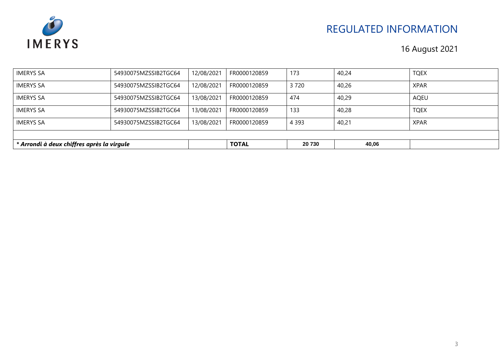

| * Arrondi à deux chiffres après la virgule |                      |            | <b>TOTAL</b> | 20 730  | 40,06 |             |
|--------------------------------------------|----------------------|------------|--------------|---------|-------|-------------|
|                                            |                      |            |              |         |       |             |
| <b>IMERYS SA</b>                           | 54930075MZSSIB2TGC64 | 13/08/2021 | FR0000120859 | 4 3 9 3 | 40,21 | <b>XPAR</b> |
| <b>IMERYS SA</b>                           | 54930075MZSSIB2TGC64 | 13/08/2021 | FR0000120859 | 133     | 40,28 | <b>TQEX</b> |
| <b>IMERYS SA</b>                           | 54930075MZSSIB2TGC64 | 13/08/2021 | FR0000120859 | 474     | 40,29 | AQEU        |
| <b>IMERYS SA</b>                           | 54930075MZSSIB2TGC64 | 12/08/2021 | FR0000120859 | 3720    | 40,26 | <b>XPAR</b> |
| <b>IMERYS SA</b>                           | 54930075MZSSIB2TGC64 | 12/08/2021 | FR0000120859 | 173     | 40,24 | <b>TQEX</b> |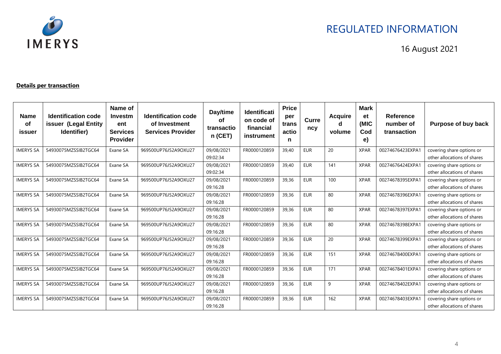

16 August 2021

#### **Details per transaction**

| <b>Name</b><br>οf<br>issuer | <b>Identification code</b><br>issuer (Legal Entity<br>Identifier) | Name of<br>Investm<br>ent<br><b>Services</b><br><b>Provider</b> | <b>Identification code</b><br>of Investment<br><b>Services Provider</b> | Day/time<br><b>of</b><br>transactio<br>$n$ (CET) | <b>Identificati</b><br>on code of<br>financial<br>instrument | <b>Price</b><br>per<br>trans<br>actio<br>n | Curre<br>ncy | <b>Acquire</b><br>volume | <b>Mark</b><br>et<br>(MIC<br>Cod<br>e) | Reference<br>number of<br>transaction | Purpose of buy back                                      |
|-----------------------------|-------------------------------------------------------------------|-----------------------------------------------------------------|-------------------------------------------------------------------------|--------------------------------------------------|--------------------------------------------------------------|--------------------------------------------|--------------|--------------------------|----------------------------------------|---------------------------------------|----------------------------------------------------------|
| <b>IMERYS SA</b>            | 54930075MZSSIB2TGC64                                              | Exane SA                                                        | 969500UP76J52A9OXU27                                                    | 09/08/2021<br>09:02:34                           | FR0000120859                                                 | 39.40                                      | <b>EUR</b>   | 20                       | <b>XPAR</b>                            | 00274676423EXPA1                      | covering share options or<br>other allocations of shares |
| <b>IMERYS SA</b>            | 54930075MZSSIB2TGC64                                              | Exane SA                                                        | 969500UP76J52A9OXU27                                                    | 09/08/2021<br>09:02:34                           | FR0000120859                                                 | 39.40                                      | <b>EUR</b>   | 141                      | <b>XPAR</b>                            | 00274676424EXPA1                      | covering share options or<br>other allocations of shares |
| <b>IMERYS SA</b>            | 54930075MZSSIB2TGC64                                              | Exane SA                                                        | 969500UP76J52A9OXU27                                                    | 09/08/2021<br>09:16:28                           | FR0000120859                                                 | 39,36                                      | <b>EUR</b>   | 100                      | <b>XPAR</b>                            | 00274678395EXPA1                      | covering share options or<br>other allocations of shares |
| <b>IMERYS SA</b>            | 54930075MZSSIB2TGC64                                              | Exane SA                                                        | 969500UP76J52A9OXU27                                                    | 09/08/2021<br>09:16:28                           | FR0000120859                                                 | 39,36                                      | <b>EUR</b>   | 80                       | <b>XPAR</b>                            | 00274678396EXPA1                      | covering share options or<br>other allocations of shares |
| <b>IMERYS SA</b>            | 54930075MZSSIB2TGC64                                              | Exane SA                                                        | 969500UP76J52A9OXU27                                                    | 09/08/2021<br>09:16:28                           | FR0000120859                                                 | 39,36                                      | <b>EUR</b>   | 80                       | <b>XPAR</b>                            | 00274678397EXPA1                      | covering share options or<br>other allocations of shares |
| <b>IMERYS SA</b>            | 54930075MZSSIB2TGC64                                              | Exane SA                                                        | 969500UP76J52A9OXU27                                                    | 09/08/2021<br>09:16:28                           | FR0000120859                                                 | 39.36                                      | <b>EUR</b>   | 80                       | <b>XPAR</b>                            | 00274678398EXPA1                      | covering share options or<br>other allocations of shares |
| <b>IMERYS SA</b>            | 54930075MZSSIB2TGC64                                              | Exane SA                                                        | 969500UP76J52A9OXU27                                                    | 09/08/2021<br>09:16:28                           | FR0000120859                                                 | 39.36                                      | <b>EUR</b>   | 20                       | <b>XPAR</b>                            | 00274678399EXPA1                      | covering share options or<br>other allocations of shares |
| <b>IMERYS SA</b>            | 54930075MZSSIB2TGC64                                              | Exane SA                                                        | 969500UP76J52A9OXU27                                                    | 09/08/2021<br>09:16:28                           | FR0000120859                                                 | 39,36                                      | <b>EUR</b>   | 151                      | <b>XPAR</b>                            | 00274678400EXPA1                      | covering share options or<br>other allocations of shares |
| <b>IMERYS SA</b>            | 54930075MZSSIB2TGC64                                              | Exane SA                                                        | 969500UP76J52A9OXU27                                                    | 09/08/2021<br>09:16:28                           | FR0000120859                                                 | 39,36                                      | <b>EUR</b>   | 171                      | <b>XPAR</b>                            | 00274678401EXPA1                      | covering share options or<br>other allocations of shares |
| <b>IMERYS SA</b>            | 54930075MZSSIB2TGC64                                              | Exane SA                                                        | 969500UP76J52A9OXU27                                                    | 09/08/2021<br>09:16:28                           | FR0000120859                                                 | 39,36                                      | <b>EUR</b>   | 9                        | <b>XPAR</b>                            | 00274678402EXPA1                      | covering share options or<br>other allocations of shares |
| <b>IMERYS SA</b>            | 54930075MZSSIB2TGC64                                              | Exane SA                                                        | 969500UP76J52A9OXU27                                                    | 09/08/2021<br>09:16:28                           | FR0000120859                                                 | 39,36                                      | <b>EUR</b>   | 162                      | <b>XPAR</b>                            | 00274678403EXPA1                      | covering share options or<br>other allocations of shares |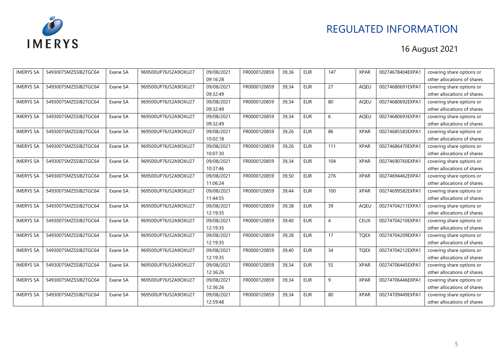

| <b>IMERYS SA</b> | 54930075MZSSIB2TGC64 | Exane SA | 969500UP76J52A9OXU27 | 09/08/2021 | FR0000120859 | 39,36 | <b>EUR</b> | 147             | <b>XPAR</b> | 00274678404EXPA1 | covering share options or   |
|------------------|----------------------|----------|----------------------|------------|--------------|-------|------------|-----------------|-------------|------------------|-----------------------------|
|                  |                      |          |                      | 09:16:28   |              |       |            |                 |             |                  | other allocations of shares |
| <b>IMERYS SA</b> | 54930075MZSSIB2TGC64 | Exane SA | 969500UP76J52A9OXU27 | 09/08/2021 | FR0000120859 | 39.34 | <b>EUR</b> | 27              | <b>AOEU</b> | 00274680691EXPA1 | covering share options or   |
|                  |                      |          |                      | 09:32:49   |              |       |            |                 |             |                  | other allocations of shares |
| <b>IMERYS SA</b> | 54930075MZSSIB2TGC64 | Exane SA | 969500UP76J52A9OXU27 | 09/08/2021 | FR0000120859 | 39,34 | <b>EUR</b> | 80              | AQEU        | 00274680692EXPA1 | covering share options or   |
|                  |                      |          |                      | 09:32:49   |              |       |            |                 |             |                  | other allocations of shares |
| <b>IMERYS SA</b> | 54930075MZSSIB2TGC64 | Exane SA | 969500UP76J52A9OXU27 | 09/08/2021 | FR0000120859 | 39,34 | <b>EUR</b> | 6               | AQEU        | 00274680693EXPA1 | covering share options or   |
|                  |                      |          |                      | 09:32:49   |              |       |            |                 |             |                  | other allocations of shares |
| <b>IMERYS SA</b> | 54930075MZSSIB2TGC64 | Exane SA | 969500UP76J52A9OXU27 | 09/08/2021 | FR0000120859 | 39,26 | <b>EUR</b> | 86              | <b>XPAR</b> | 00274685583EXPA1 | covering share options or   |
|                  |                      |          |                      | 10:02:18   |              |       |            |                 |             |                  | other allocations of shares |
| <b>IMERYS SA</b> | 54930075MZSSIB2TGC64 | Exane SA | 969500UP76J52A9OXU27 | 09/08/2021 | FR0000120859 | 39,26 | <b>EUR</b> | 111             | <b>XPAR</b> | 00274686470EXPA1 | covering share options or   |
|                  |                      |          |                      | 10:07:30   |              |       |            |                 |             |                  | other allocations of shares |
| <b>IMERYS SA</b> | 54930075MZSSIB2TGC64 | Exane SA | 969500UP76J52A9OXU27 | 09/08/2021 | FR0000120859 | 39,34 | <b>EUR</b> | 104             | <b>XPAR</b> | 00274690760EXPA1 | covering share options or   |
|                  |                      |          |                      | 10:37:46   |              |       |            |                 |             |                  | other allocations of shares |
| <b>IMERYS SA</b> | 54930075MZSSIB2TGC64 | Exane SA | 969500UP76J52A9OXU27 | 09/08/2021 | FR0000120859 | 39.50 | <b>EUR</b> | 276             | <b>XPAR</b> | 00274694462EXPA1 | covering share options or   |
|                  |                      |          |                      | 11:06:24   |              |       |            |                 |             |                  | other allocations of shares |
| <b>IMERYS SA</b> | 54930075MZSSIB2TGC64 | Exane SA | 969500UP76J52A9OXU27 | 09/08/2021 | FR0000120859 | 39.44 | <b>EUR</b> | 100             | <b>XPAR</b> | 00274699582EXPA1 | covering share options or   |
|                  |                      |          |                      | 11:44:55   |              |       |            |                 |             |                  | other allocations of shares |
| <b>IMERYS SA</b> | 54930075MZSSIB2TGC64 | Exane SA | 969500UP76J52A9OXU27 | 09/08/2021 | FR0000120859 | 39,38 | <b>EUR</b> | $\overline{39}$ | AQEU        | 00274704211EXPA1 | covering share options or   |
|                  |                      |          |                      | 12:19:35   |              |       |            |                 |             |                  | other allocations of shares |
| <b>IMERYS SA</b> | 54930075MZSSIB2TGC64 | Exane SA | 969500UP76J52A9OXU27 | 09/08/2021 | FR0000120859 | 39,40 | <b>EUR</b> | $\overline{4}$  | <b>CEUX</b> | 00274704210EXPA1 | covering share options or   |
|                  |                      |          |                      | 12:19:35   |              |       |            |                 |             |                  | other allocations of shares |
| <b>IMERYS SA</b> | 54930075MZSSIB2TGC64 | Exane SA | 969500UP76J52A9OXU27 | 09/08/2021 | FR0000120859 | 39,38 | <b>EUR</b> | 17              | <b>TOEX</b> | 00274704209EXPA1 | covering share options or   |
|                  |                      |          |                      | 12:19:35   |              |       |            |                 |             |                  | other allocations of shares |
| <b>IMERYS SA</b> | 54930075MZSSIB2TGC64 | Exane SA | 969500UP76J52A9OXU27 | 09/08/2021 | FR0000120859 | 39,40 | <b>EUR</b> | 34              | <b>TQEX</b> | 00274704212EXPA1 | covering share options or   |
|                  |                      |          |                      | 12:19:35   |              |       |            |                 |             |                  | other allocations of shares |
| <b>IMERYS SA</b> | 54930075MZSSIB2TGC64 | Exane SA | 969500UP76J52A9OXU27 | 09/08/2021 | FR0000120859 | 39,34 | <b>EUR</b> | 55              | <b>XPAR</b> | 00274706445EXPA1 | covering share options or   |
|                  |                      |          |                      | 12:36:26   |              |       |            |                 |             |                  | other allocations of shares |
| <b>IMERYS SA</b> | 54930075MZSSIB2TGC64 | Exane SA | 969500UP76J52A9OXU27 | 09/08/2021 | FR0000120859 | 39,34 | <b>EUR</b> | 9               | <b>XPAR</b> | 00274706446EXPA1 | covering share options or   |
|                  |                      |          |                      | 12:36:26   |              |       |            |                 |             |                  | other allocations of shares |
| <b>IMERYS SA</b> | 54930075MZSSIB2TGC64 | Exane SA | 969500UP76J52A9OXU27 | 09/08/2021 | FR0000120859 | 39,34 | <b>EUR</b> | 80              | <b>XPAR</b> | 00274709449EXPA1 | covering share options or   |
|                  |                      |          |                      | 12:59:48   |              |       |            |                 |             |                  | other allocations of shares |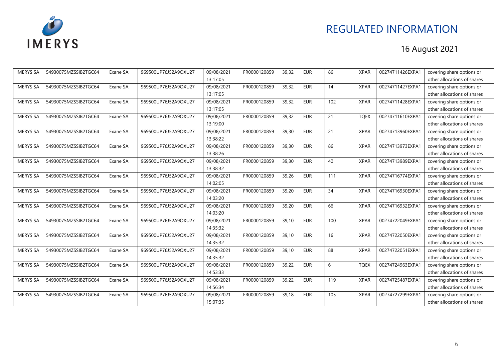

| <b>IMERYS SA</b> | 54930075MZSSIB2TGC64 | Exane SA | 969500UP76J52A9OXU27 | 09/08/2021 | FR0000120859 | 39,32 | <b>EUR</b> | 86              | <b>XPAR</b> | 00274711426EXPA1 | covering share options or   |
|------------------|----------------------|----------|----------------------|------------|--------------|-------|------------|-----------------|-------------|------------------|-----------------------------|
|                  |                      |          |                      | 13:17:05   |              |       |            |                 |             |                  | other allocations of shares |
| <b>IMERYS SA</b> | 54930075MZSSIB2TGC64 | Exane SA | 969500UP76J52A9OXU27 | 09/08/2021 | FR0000120859 | 39,32 | <b>EUR</b> | 14              | <b>XPAR</b> | 00274711427EXPA1 | covering share options or   |
|                  |                      |          |                      | 13:17:05   |              |       |            |                 |             |                  | other allocations of shares |
| <b>IMERYS SA</b> | 54930075MZSSIB2TGC64 | Exane SA | 969500UP76J52A9OXU27 | 09/08/2021 | FR0000120859 | 39,32 | <b>EUR</b> | 102             | <b>XPAR</b> | 00274711428EXPA1 | covering share options or   |
|                  |                      |          |                      | 13:17:05   |              |       |            |                 |             |                  | other allocations of shares |
| <b>IMERYS SA</b> | 54930075MZSSIB2TGC64 | Exane SA | 969500UP76J52A9OXU27 | 09/08/2021 | FR0000120859 | 39,32 | <b>EUR</b> | $\overline{21}$ | <b>TQEX</b> | 00274711610EXPA1 | covering share options or   |
|                  |                      |          |                      | 13:19:00   |              |       |            |                 |             |                  | other allocations of shares |
| <b>IMERYS SA</b> | 54930075MZSSIB2TGC64 | Exane SA | 969500UP76J52A9OXU27 | 09/08/2021 | FR0000120859 | 39,30 | <b>EUR</b> | 21              | <b>XPAR</b> | 00274713960EXPA1 | covering share options or   |
|                  |                      |          |                      | 13:38:22   |              |       |            |                 |             |                  | other allocations of shares |
| <b>IMERYS SA</b> | 54930075MZSSIB2TGC64 | Exane SA | 969500UP76J52A9OXU27 | 09/08/2021 | FR0000120859 | 39,30 | <b>EUR</b> | 86              | <b>XPAR</b> | 00274713973EXPA1 | covering share options or   |
|                  |                      |          |                      | 13:38:26   |              |       |            |                 |             |                  | other allocations of shares |
| <b>IMERYS SA</b> | 54930075MZSSIB2TGC64 | Exane SA | 969500UP76J52A9OXU27 | 09/08/2021 | FR0000120859 | 39,30 | <b>EUR</b> | 40              | <b>XPAR</b> | 00274713989EXPA1 | covering share options or   |
|                  |                      |          |                      | 13:38:32   |              |       |            |                 |             |                  | other allocations of shares |
| <b>IMERYS SA</b> | 54930075MZSSIB2TGC64 | Exane SA | 969500UP76J52A9OXU27 | 09/08/2021 | FR0000120859 | 39,26 | <b>EUR</b> | 111             | <b>XPAR</b> | 00274716774EXPA1 | covering share options or   |
|                  |                      |          |                      | 14:02:05   |              |       |            |                 |             |                  | other allocations of shares |
| <b>IMERYS SA</b> | 54930075MZSSIB2TGC64 | Exane SA | 969500UP76J52A9OXU27 | 09/08/2021 | FR0000120859 | 39,20 | <b>EUR</b> | 34              | <b>XPAR</b> | 00274716930EXPA1 | covering share options or   |
|                  |                      |          |                      | 14:03:20   |              |       |            |                 |             |                  | other allocations of shares |
| <b>IMERYS SA</b> | 54930075MZSSIB2TGC64 | Exane SA | 969500UP76J52A9OXU27 | 09/08/2021 | FR0000120859 | 39,20 | <b>EUR</b> | 66              | <b>XPAR</b> | 00274716932EXPA1 | covering share options or   |
|                  |                      |          |                      | 14:03:20   |              |       |            |                 |             |                  | other allocations of shares |
| <b>IMERYS SA</b> | 54930075MZSSIB2TGC64 | Exane SA | 969500UP76J52A9OXU27 | 09/08/2021 | FR0000120859 | 39,10 | <b>EUR</b> | 100             | <b>XPAR</b> | 00274722049EXPA1 | covering share options or   |
|                  |                      |          |                      | 14:35:32   |              |       |            |                 |             |                  | other allocations of shares |
| <b>IMERYS SA</b> | 54930075MZSSIB2TGC64 | Exane SA | 969500UP76J52A9OXU27 | 09/08/2021 | FR0000120859 | 39,10 | <b>EUR</b> | 16              | <b>XPAR</b> | 00274722050EXPA1 | covering share options or   |
|                  |                      |          |                      | 14:35:32   |              |       |            |                 |             |                  | other allocations of shares |
| <b>IMERYS SA</b> | 54930075MZSSIB2TGC64 | Exane SA | 969500UP76J52A9OXU27 | 09/08/2021 | FR0000120859 | 39,10 | <b>EUR</b> | 88              | <b>XPAR</b> | 00274722051EXPA1 | covering share options or   |
|                  |                      |          |                      | 14:35:32   |              |       |            |                 |             |                  | other allocations of shares |
| <b>IMERYS SA</b> | 54930075MZSSIB2TGC64 | Exane SA | 969500UP76J52A9OXU27 | 09/08/2021 | FR0000120859 | 39,22 | <b>EUR</b> | 6               | <b>TQEX</b> | 00274724963EXPA1 | covering share options or   |
|                  |                      |          |                      | 14:53:33   |              |       |            |                 |             |                  | other allocations of shares |
| <b>IMERYS SA</b> | 54930075MZSSIB2TGC64 | Exane SA | 969500UP76J52A9OXU27 | 09/08/2021 | FR0000120859 | 39,22 | <b>EUR</b> | 119             | <b>XPAR</b> | 00274725487EXPA1 | covering share options or   |
|                  |                      |          |                      | 14:56:34   |              |       |            |                 |             |                  | other allocations of shares |
| <b>IMERYS SA</b> | 54930075MZSSIB2TGC64 | Exane SA | 969500UP76J52A9OXU27 | 09/08/2021 | FR0000120859 | 39,18 | <b>EUR</b> | 105             | <b>XPAR</b> | 00274727299EXPA1 | covering share options or   |
|                  |                      |          |                      | 15:07:35   |              |       |            |                 |             |                  | other allocations of shares |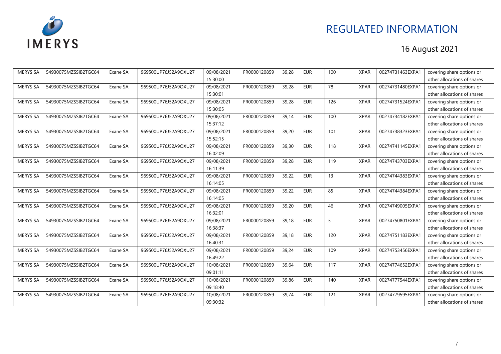

| <b>IMERYS SA</b> | 54930075MZSSIB2TGC64 | Exane SA | 969500UP76J52A9OXU27 | 09/08/2021 | FR0000120859 | 39,28 | <b>EUR</b> | 100 | <b>XPAR</b> | 00274731463EXPA1 | covering share options or   |
|------------------|----------------------|----------|----------------------|------------|--------------|-------|------------|-----|-------------|------------------|-----------------------------|
|                  |                      |          |                      | 15:30:00   |              |       |            |     |             |                  | other allocations of shares |
| <b>IMERYS SA</b> | 54930075MZSSIB2TGC64 | Exane SA | 969500UP76J52A9OXU27 | 09/08/2021 | FR0000120859 | 39,28 | <b>EUR</b> | 78  | <b>XPAR</b> | 00274731480EXPA1 | covering share options or   |
|                  |                      |          |                      | 15:30:01   |              |       |            |     |             |                  | other allocations of shares |
| <b>IMERYS SA</b> | 54930075MZSSIB2TGC64 | Exane SA | 969500UP76J52A9OXU27 | 09/08/2021 | FR0000120859 | 39,28 | <b>EUR</b> | 126 | <b>XPAR</b> | 00274731524EXPA1 | covering share options or   |
|                  |                      |          |                      | 15:30:05   |              |       |            |     |             |                  | other allocations of shares |
| <b>IMERYS SA</b> | 54930075MZSSIB2TGC64 | Exane SA | 969500UP76J52A9OXU27 | 09/08/2021 | FR0000120859 | 39,14 | <b>EUR</b> | 100 | <b>XPAR</b> | 00274734182EXPA1 | covering share options or   |
|                  |                      |          |                      | 15:37:12   |              |       |            |     |             |                  | other allocations of shares |
| <b>IMERYS SA</b> | 54930075MZSSIB2TGC64 | Exane SA | 969500UP76J52A9OXU27 | 09/08/2021 | FR0000120859 | 39,20 | <b>EUR</b> | 101 | <b>XPAR</b> | 00274738323EXPA1 | covering share options or   |
|                  |                      |          |                      | 15:52:15   |              |       |            |     |             |                  | other allocations of shares |
| <b>IMERYS SA</b> | 54930075MZSSIB2TGC64 | Exane SA | 969500UP76J52A9OXU27 | 09/08/2021 | FR0000120859 | 39,30 | <b>EUR</b> | 118 | <b>XPAR</b> | 00274741145EXPA1 | covering share options or   |
|                  |                      |          |                      | 16:02:09   |              |       |            |     |             |                  | other allocations of shares |
| <b>IMERYS SA</b> | 54930075MZSSIB2TGC64 | Exane SA | 969500UP76J52A9OXU27 | 09/08/2021 | FR0000120859 | 39,28 | <b>EUR</b> | 119 | <b>XPAR</b> | 00274743703EXPA1 | covering share options or   |
|                  |                      |          |                      | 16:11:39   |              |       |            |     |             |                  | other allocations of shares |
| <b>IMERYS SA</b> | 54930075MZSSIB2TGC64 | Exane SA | 969500UP76J52A9OXU27 | 09/08/2021 | FR0000120859 | 39,22 | <b>EUR</b> | 13  | <b>XPAR</b> | 00274744383EXPA1 | covering share options or   |
|                  |                      |          |                      | 16:14:05   |              |       |            |     |             |                  | other allocations of shares |
| <b>IMERYS SA</b> | 54930075MZSSIB2TGC64 | Exane SA | 969500UP76J52A9OXU27 | 09/08/2021 | FR0000120859 | 39,22 | <b>EUR</b> | 85  | <b>XPAR</b> | 00274744384EXPA1 | covering share options or   |
|                  |                      |          |                      | 16:14:05   |              |       |            |     |             |                  | other allocations of shares |
| <b>IMERYS SA</b> | 54930075MZSSIB2TGC64 | Exane SA | 969500UP76J52A9OXU27 | 09/08/2021 | FR0000120859 | 39,20 | <b>EUR</b> | 46  | <b>XPAR</b> | 00274749005EXPA1 | covering share options or   |
|                  |                      |          |                      | 16:32:01   |              |       |            |     |             |                  | other allocations of shares |
| <b>IMERYS SA</b> | 54930075MZSSIB2TGC64 | Exane SA | 969500UP76J52A9OXU27 | 09/08/2021 | FR0000120859 | 39,18 | <b>EUR</b> | 5   | <b>XPAR</b> | 00274750801EXPA1 | covering share options or   |
|                  |                      |          |                      | 16:38:37   |              |       |            |     |             |                  | other allocations of shares |
| <b>IMERYS SA</b> | 54930075MZSSIB2TGC64 | Exane SA | 969500UP76J52A9OXU27 | 09/08/2021 | FR0000120859 | 39.18 | <b>EUR</b> | 120 | <b>XPAR</b> | 00274751183EXPA1 | covering share options or   |
|                  |                      |          |                      | 16:40:31   |              |       |            |     |             |                  | other allocations of shares |
| <b>IMERYS SA</b> | 54930075MZSSIB2TGC64 | Exane SA | 969500UP76J52A9OXU27 | 09/08/2021 | FR0000120859 | 39,24 | <b>EUR</b> | 109 | <b>XPAR</b> | 00274753456EXPA1 | covering share options or   |
|                  |                      |          |                      | 16:49:22   |              |       |            |     |             |                  | other allocations of shares |
| <b>IMERYS SA</b> | 54930075MZSSIB2TGC64 | Exane SA | 969500UP76J52A9OXU27 | 10/08/2021 | FR0000120859 | 39,64 | <b>EUR</b> | 117 | <b>XPAR</b> | 00274774652EXPA1 | covering share options or   |
|                  |                      |          |                      | 09:01:11   |              |       |            |     |             |                  | other allocations of shares |
| <b>IMERYS SA</b> | 54930075MZSSIB2TGC64 | Exane SA | 969500UP76J52A9OXU27 | 10/08/2021 | FR0000120859 | 39,86 | <b>EUR</b> | 140 | <b>XPAR</b> | 00274777544EXPA1 | covering share options or   |
|                  |                      |          |                      | 09:18:40   |              |       |            |     |             |                  | other allocations of shares |
| <b>IMERYS SA</b> | 54930075MZSSIB2TGC64 | Exane SA | 969500UP76J52A9OXU27 | 10/08/2021 | FR0000120859 | 39,74 | <b>EUR</b> | 121 | <b>XPAR</b> | 00274779595EXPA1 | covering share options or   |
|                  |                      |          |                      | 09:30:32   |              |       |            |     |             |                  | other allocations of shares |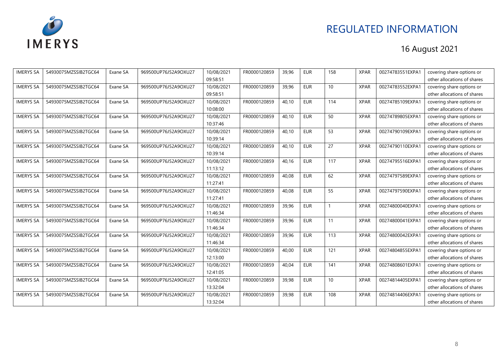

| <b>IMERYS SA</b> | 54930075MZSSIB2TGC64 | Exane SA | 969500UP76J52A9OXU27 | 10/08/2021 | FR0000120859 | 39,96 | <b>EUR</b> | 158 | <b>XPAR</b> | 00274783551EXPA1 | covering share options or   |
|------------------|----------------------|----------|----------------------|------------|--------------|-------|------------|-----|-------------|------------------|-----------------------------|
|                  |                      |          |                      | 09:58:51   |              |       |            |     |             |                  | other allocations of shares |
| <b>IMERYS SA</b> | 54930075MZSSIB2TGC64 | Exane SA | 969500UP76J52A9OXU27 | 10/08/2021 | FR0000120859 | 39.96 | <b>EUR</b> | 10  | <b>XPAR</b> | 00274783552EXPA1 | covering share options or   |
|                  |                      |          |                      | 09:58:51   |              |       |            |     |             |                  | other allocations of shares |
| <b>IMERYS SA</b> | 54930075MZSSIB2TGC64 | Exane SA | 969500UP76J52A9OXU27 | 10/08/2021 | FR0000120859 | 40,10 | <b>EUR</b> | 114 | <b>XPAR</b> | 00274785109EXPA1 | covering share options or   |
|                  |                      |          |                      | 10:08:00   |              |       |            |     |             |                  | other allocations of shares |
| <b>IMERYS SA</b> | 54930075MZSSIB2TGC64 | Exane SA | 969500UP76J52A9OXU27 | 10/08/2021 | FR0000120859 | 40,10 | <b>EUR</b> | 50  | <b>XPAR</b> | 00274789805EXPA1 | covering share options or   |
|                  |                      |          |                      | 10:37:46   |              |       |            |     |             |                  | other allocations of shares |
| <b>IMERYS SA</b> | 54930075MZSSIB2TGC64 | Exane SA | 969500UP76J52A9OXU27 | 10/08/2021 | FR0000120859 | 40.10 | <b>EUR</b> | 53  | <b>XPAR</b> | 00274790109EXPA1 | covering share options or   |
|                  |                      |          |                      | 10:39:14   |              |       |            |     |             |                  | other allocations of shares |
| <b>IMERYS SA</b> | 54930075MZSSIB2TGC64 | Exane SA | 969500UP76J52A9OXU27 | 10/08/2021 | FR0000120859 | 40,10 | <b>EUR</b> | 27  | <b>XPAR</b> | 00274790110EXPA1 | covering share options or   |
|                  |                      |          |                      | 10:39:14   |              |       |            |     |             |                  | other allocations of shares |
| <b>IMERYS SA</b> | 54930075MZSSIB2TGC64 | Exane SA | 969500UP76J52A9OXU27 | 10/08/2021 | FR0000120859 | 40,16 | <b>EUR</b> | 117 | <b>XPAR</b> | 00274795516EXPA1 | covering share options or   |
|                  |                      |          |                      | 11:13:12   |              |       |            |     |             |                  | other allocations of shares |
| <b>IMERYS SA</b> | 54930075MZSSIB2TGC64 | Exane SA | 969500UP76J52A9OXU27 | 10/08/2021 | FR0000120859 | 40.08 | <b>EUR</b> | 62  | <b>XPAR</b> | 00274797589EXPA1 | covering share options or   |
|                  |                      |          |                      | 11:27:41   |              |       |            |     |             |                  | other allocations of shares |
| <b>IMERYS SA</b> | 54930075MZSSIB2TGC64 | Exane SA | 969500UP76J52A9OXU27 | 10/08/2021 | FR0000120859 | 40.08 | <b>EUR</b> | 55  | <b>XPAR</b> | 00274797590EXPA1 | covering share options or   |
|                  |                      |          |                      | 11:27:41   |              |       |            |     |             |                  | other allocations of shares |
| <b>IMERYS SA</b> | 54930075MZSSIB2TGC64 | Exane SA | 969500UP76J52A9OXU27 | 10/08/2021 | FR0000120859 | 39,96 | <b>EUR</b> |     | <b>XPAR</b> | 00274800040EXPA1 | covering share options or   |
|                  |                      |          |                      | 11:46:34   |              |       |            |     |             |                  | other allocations of shares |
| <b>IMERYS SA</b> | 54930075MZSSIB2TGC64 | Exane SA | 969500UP76J52A9OXU27 | 10/08/2021 | FR0000120859 | 39.96 | <b>EUR</b> | 11  | <b>XPAR</b> | 00274800041EXPA1 | covering share options or   |
|                  |                      |          |                      | 11:46:34   |              |       |            |     |             |                  | other allocations of shares |
| <b>IMERYS SA</b> | 54930075MZSSIB2TGC64 | Exane SA | 969500UP76J52A9OXU27 | 10/08/2021 | FR0000120859 | 39,96 | <b>EUR</b> | 113 | <b>XPAR</b> | 00274800042EXPA1 | covering share options or   |
|                  |                      |          |                      | 11:46:34   |              |       |            |     |             |                  | other allocations of shares |
| <b>IMERYS SA</b> | 54930075MZSSIB2TGC64 | Exane SA | 969500UP76J52A9OXU27 | 10/08/2021 | FR0000120859 | 40,00 | <b>EUR</b> | 121 | <b>XPAR</b> | 00274804855EXPA1 | covering share options or   |
|                  |                      |          |                      | 12:13:00   |              |       |            |     |             |                  | other allocations of shares |
| <b>IMERYS SA</b> | 54930075MZSSIB2TGC64 | Exane SA | 969500UP76J52A9OXU27 | 10/08/2021 | FR0000120859 | 40,04 | <b>EUR</b> | 141 | <b>XPAR</b> | 00274808601EXPA1 | covering share options or   |
|                  |                      |          |                      | 12:41:05   |              |       |            |     |             |                  | other allocations of shares |
| <b>IMERYS SA</b> | 54930075MZSSIB2TGC64 | Exane SA | 969500UP76J52A9OXU27 | 10/08/2021 | FR0000120859 | 39,98 | <b>EUR</b> | 10  | <b>XPAR</b> | 00274814405EXPA1 | covering share options or   |
|                  |                      |          |                      | 13:32:04   |              |       |            |     |             |                  | other allocations of shares |
| <b>IMERYS SA</b> | 54930075MZSSIB2TGC64 | Exane SA | 969500UP76J52A9OXU27 | 10/08/2021 | FR0000120859 | 39,98 | <b>EUR</b> | 108 | <b>XPAR</b> | 00274814406EXPA1 | covering share options or   |
|                  |                      |          |                      | 13:32:04   |              |       |            |     |             |                  | other allocations of shares |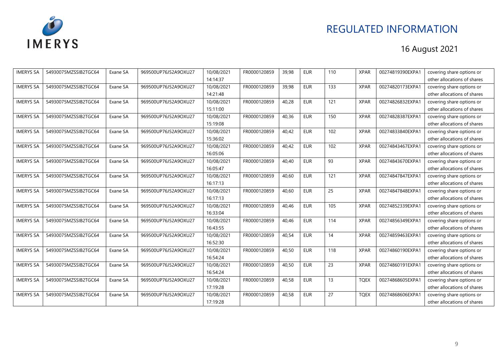

| <b>IMERYS SA</b> | 54930075MZSSIB2TGC64 | Exane SA | 969500UP76J52A9OXU27 | 10/08/2021 | FR0000120859 | 39,98 | <b>EUR</b> | 110 | <b>XPAR</b> | 00274819390EXPA1 | covering share options or   |
|------------------|----------------------|----------|----------------------|------------|--------------|-------|------------|-----|-------------|------------------|-----------------------------|
|                  |                      |          |                      | 14:14:37   |              |       |            |     |             |                  | other allocations of shares |
| <b>IMERYS SA</b> | 54930075MZSSIB2TGC64 | Exane SA | 969500UP76J52A9OXU27 | 10/08/2021 | FR0000120859 | 39,98 | <b>EUR</b> | 133 | <b>XPAR</b> | 00274820173EXPA1 | covering share options or   |
|                  |                      |          |                      | 14:21:48   |              |       |            |     |             |                  | other allocations of shares |
| <b>IMERYS SA</b> | 54930075MZSSIB2TGC64 | Exane SA | 969500UP76J52A9OXU27 | 10/08/2021 | FR0000120859 | 40,28 | <b>EUR</b> | 121 | <b>XPAR</b> | 00274826832EXPA1 | covering share options or   |
|                  |                      |          |                      | 15:11:00   |              |       |            |     |             |                  | other allocations of shares |
| <b>IMERYS SA</b> | 54930075MZSSIB2TGC64 | Exane SA | 969500UP76J52A9OXU27 | 10/08/2021 | FR0000120859 | 40,36 | <b>EUR</b> | 150 | <b>XPAR</b> | 00274828387EXPA1 | covering share options or   |
|                  |                      |          |                      | 15:19:08   |              |       |            |     |             |                  | other allocations of shares |
| <b>IMERYS SA</b> | 54930075MZSSIB2TGC64 | Exane SA | 969500UP76J52A9OXU27 | 10/08/2021 | FR0000120859 | 40,42 | <b>EUR</b> | 102 | <b>XPAR</b> | 00274833840EXPA1 | covering share options or   |
|                  |                      |          |                      | 15:36:02   |              |       |            |     |             |                  | other allocations of shares |
| <b>IMERYS SA</b> | 54930075MZSSIB2TGC64 | Exane SA | 969500UP76J52A9OXU27 | 10/08/2021 | FR0000120859 | 40,42 | <b>EUR</b> | 102 | <b>XPAR</b> | 00274843467EXPA1 | covering share options or   |
|                  |                      |          |                      | 16:05:06   |              |       |            |     |             |                  | other allocations of shares |
| <b>IMERYS SA</b> | 54930075MZSSIB2TGC64 | Exane SA | 969500UP76J52A9OXU27 | 10/08/2021 | FR0000120859 | 40,40 | <b>EUR</b> | 93  | <b>XPAR</b> | 00274843670EXPA1 | covering share options or   |
|                  |                      |          |                      | 16:05:47   |              |       |            |     |             |                  | other allocations of shares |
| <b>IMERYS SA</b> | 54930075MZSSIB2TGC64 | Exane SA | 969500UP76J52A9OXU27 | 10/08/2021 | FR0000120859 | 40.60 | <b>EUR</b> | 121 | <b>XPAR</b> | 00274847847EXPA1 | covering share options or   |
|                  |                      |          |                      | 16:17:13   |              |       |            |     |             |                  | other allocations of shares |
| <b>IMERYS SA</b> | 54930075MZSSIB2TGC64 | Exane SA | 969500UP76J52A9OXU27 | 10/08/2021 | FR0000120859 | 40.60 | <b>EUR</b> | 25  | <b>XPAR</b> | 00274847848EXPA1 | covering share options or   |
|                  |                      |          |                      | 16:17:13   |              |       |            |     |             |                  | other allocations of shares |
| <b>IMERYS SA</b> | 54930075MZSSIB2TGC64 | Exane SA | 969500UP76J52A9OXU27 | 10/08/2021 | FR0000120859 | 40,46 | <b>EUR</b> | 105 | <b>XPAR</b> | 00274852339EXPA1 | covering share options or   |
|                  |                      |          |                      | 16:33:04   |              |       |            |     |             |                  | other allocations of shares |
| <b>IMERYS SA</b> | 54930075MZSSIB2TGC64 | Exane SA | 969500UP76J52A9OXU27 | 10/08/2021 | FR0000120859 | 40,46 | <b>EUR</b> | 114 | <b>XPAR</b> | 00274856349EXPA1 | covering share options or   |
|                  |                      |          |                      | 16:43:55   |              |       |            |     |             |                  | other allocations of shares |
| <b>IMERYS SA</b> | 54930075MZSSIB2TGC64 | Exane SA | 969500UP76J52A9OXU27 | 10/08/2021 | FR0000120859 | 40,54 | <b>EUR</b> | 14  | <b>XPAR</b> | 00274859463EXPA1 | covering share options or   |
|                  |                      |          |                      | 16:52:30   |              |       |            |     |             |                  | other allocations of shares |
| <b>IMERYS SA</b> | 54930075MZSSIB2TGC64 | Exane SA | 969500UP76J52A9OXU27 | 10/08/2021 | FR0000120859 | 40,50 | <b>EUR</b> | 118 | <b>XPAR</b> | 00274860190EXPA1 | covering share options or   |
|                  |                      |          |                      | 16:54:24   |              |       |            |     |             |                  | other allocations of shares |
| <b>IMERYS SA</b> | 54930075MZSSIB2TGC64 | Exane SA | 969500UP76J52A9OXU27 | 10/08/2021 | FR0000120859 | 40,50 | <b>EUR</b> | 23  | <b>XPAR</b> | 00274860191EXPA1 | covering share options or   |
|                  |                      |          |                      | 16:54:24   |              |       |            |     |             |                  | other allocations of shares |
| <b>IMERYS SA</b> | 54930075MZSSIB2TGC64 | Exane SA | 969500UP76J52A9OXU27 | 10/08/2021 | FR0000120859 | 40,58 | <b>EUR</b> | 13  | <b>TQEX</b> | 00274868605EXPA1 | covering share options or   |
|                  |                      |          |                      | 17:19:28   |              |       |            |     |             |                  | other allocations of shares |
| <b>IMERYS SA</b> | 54930075MZSSIB2TGC64 | Exane SA | 969500UP76J52A9OXU27 | 10/08/2021 | FR0000120859 | 40,58 | <b>EUR</b> | 27  | <b>TQEX</b> | 00274868606EXPA1 | covering share options or   |
|                  |                      |          |                      | 17:19:28   |              |       |            |     |             |                  | other allocations of shares |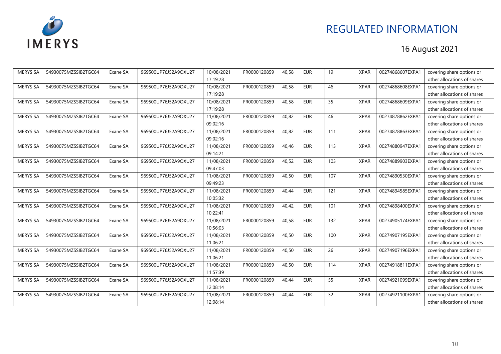

| <b>IMERYS SA</b> | 54930075MZSSIB2TGC64 | Exane SA | 969500UP76J52A9OXU27 | 10/08/2021 | FR0000120859 | 40,58 | <b>EUR</b> | 19  | <b>XPAR</b> | 00274868607EXPA1 | covering share options or   |
|------------------|----------------------|----------|----------------------|------------|--------------|-------|------------|-----|-------------|------------------|-----------------------------|
|                  |                      |          |                      | 17:19:28   |              |       |            |     |             |                  | other allocations of shares |
| <b>IMERYS SA</b> | 54930075MZSSIB2TGC64 | Exane SA | 969500UP76J52A9OXU27 | 10/08/2021 | FR0000120859 | 40,58 | <b>EUR</b> | 46  | <b>XPAR</b> | 00274868608EXPA1 | covering share options or   |
|                  |                      |          |                      | 17:19:28   |              |       |            |     |             |                  | other allocations of shares |
| <b>IMERYS SA</b> | 54930075MZSSIB2TGC64 | Exane SA | 969500UP76J52A9OXU27 | 10/08/2021 | FR0000120859 | 40,58 | <b>EUR</b> | 35  | <b>XPAR</b> | 00274868609EXPA1 | covering share options or   |
|                  |                      |          |                      | 17:19:28   |              |       |            |     |             |                  | other allocations of shares |
| <b>IMERYS SA</b> | 54930075MZSSIB2TGC64 | Exane SA | 969500UP76J52A9OXU27 | 11/08/2021 | FR0000120859 | 40,82 | <b>EUR</b> | 46  | <b>XPAR</b> | 00274878862EXPA1 | covering share options or   |
|                  |                      |          |                      | 09:02:16   |              |       |            |     |             |                  | other allocations of shares |
| <b>IMERYS SA</b> | 54930075MZSSIB2TGC64 | Exane SA | 969500UP76J52A9OXU27 | 11/08/2021 | FR0000120859 | 40,82 | <b>EUR</b> | 111 | <b>XPAR</b> | 00274878863EXPA1 | covering share options or   |
|                  |                      |          |                      | 09:02:16   |              |       |            |     |             |                  | other allocations of shares |
| <b>IMERYS SA</b> | 54930075MZSSIB2TGC64 | Exane SA | 969500UP76J52A9OXU27 | 11/08/2021 | FR0000120859 | 40.46 | <b>EUR</b> | 113 | <b>XPAR</b> | 00274880947EXPA1 | covering share options or   |
|                  |                      |          |                      | 09:14:21   |              |       |            |     |             |                  | other allocations of shares |
| <b>IMERYS SA</b> | 54930075MZSSIB2TGC64 | Exane SA | 969500UP76J52A9OXU27 | 11/08/2021 | FR0000120859 | 40,52 | <b>EUR</b> | 103 | <b>XPAR</b> | 00274889903EXPA1 | covering share options or   |
|                  |                      |          |                      | 09:47:03   |              |       |            |     |             |                  | other allocations of shares |
| <b>IMERYS SA</b> | 54930075MZSSIB2TGC64 | Exane SA | 969500UP76J52A9OXU27 | 11/08/2021 | FR0000120859 | 40,50 | <b>EUR</b> | 107 | <b>XPAR</b> | 00274890530EXPA1 | covering share options or   |
|                  |                      |          |                      | 09:49:23   |              |       |            |     |             |                  | other allocations of shares |
| <b>IMERYS SA</b> | 54930075MZSSIB2TGC64 | Exane SA | 969500UP76J52A9OXU27 | 11/08/2021 | FR0000120859 | 40,44 | <b>EUR</b> | 121 | <b>XPAR</b> | 00274894585EXPA1 | covering share options or   |
|                  |                      |          |                      | 10:05:32   |              |       |            |     |             |                  | other allocations of shares |
| <b>IMERYS SA</b> | 54930075MZSSIB2TGC64 | Exane SA | 969500UP76J52A9OXU27 | 11/08/2021 | FR0000120859 | 40.42 | <b>EUR</b> | 101 | <b>XPAR</b> | 00274898400EXPA1 | covering share options or   |
|                  |                      |          |                      | 10:22:41   |              |       |            |     |             |                  | other allocations of shares |
| <b>IMERYS SA</b> | 54930075MZSSIB2TGC64 | Exane SA | 969500UP76J52A9OXU27 | 11/08/2021 | FR0000120859 | 40,58 | <b>EUR</b> | 132 | <b>XPAR</b> | 00274905174EXPA1 | covering share options or   |
|                  |                      |          |                      | 10:56:03   |              |       |            |     |             |                  | other allocations of shares |
| <b>IMERYS SA</b> | 54930075MZSSIB2TGC64 | Exane SA | 969500UP76J52A9OXU27 | 11/08/2021 | FR0000120859 | 40,50 | <b>EUR</b> | 100 | <b>XPAR</b> | 00274907195EXPA1 | covering share options or   |
|                  |                      |          |                      | 11:06:21   |              |       |            |     |             |                  | other allocations of shares |
| <b>IMERYS SA</b> | 54930075MZSSIB2TGC64 | Exane SA | 969500UP76J52A9OXU27 | 11/08/2021 | FR0000120859 | 40,50 | <b>EUR</b> | 26  | <b>XPAR</b> | 00274907196EXPA1 | covering share options or   |
|                  |                      |          |                      | 11:06:21   |              |       |            |     |             |                  | other allocations of shares |
| <b>IMERYS SA</b> | 54930075MZSSIB2TGC64 | Exane SA | 969500UP76J52A9OXU27 | 11/08/2021 | FR0000120859 | 40,50 | <b>EUR</b> | 114 | <b>XPAR</b> | 00274918811EXPA1 | covering share options or   |
|                  |                      |          |                      | 11:57:39   |              |       |            |     |             |                  | other allocations of shares |
| <b>IMERYS SA</b> | 54930075MZSSIB2TGC64 | Exane SA | 969500UP76J52A9OXU27 | 11/08/2021 | FR0000120859 | 40,44 | <b>EUR</b> | 55  | <b>XPAR</b> | 00274921099EXPA1 | covering share options or   |
|                  |                      |          |                      | 12:08:14   |              |       |            |     |             |                  | other allocations of shares |
| <b>IMERYS SA</b> | 54930075MZSSIB2TGC64 | Exane SA | 969500UP76J52A9OXU27 | 11/08/2021 | FR0000120859 | 40,44 | <b>EUR</b> | 32  | <b>XPAR</b> | 00274921100EXPA1 | covering share options or   |
|                  |                      |          |                      | 12:08:14   |              |       |            |     |             |                  | other allocations of shares |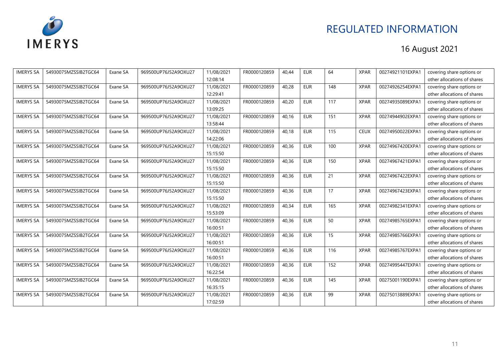

| <b>IMERYS SA</b> | 54930075MZSSIB2TGC64 | Exane SA | 969500UP76J52A9OXU27 | 11/08/2021 | FR0000120859 | 40,44 | <b>EUR</b> | 64                | <b>XPAR</b> | 00274921101EXPA1 | covering share options or   |
|------------------|----------------------|----------|----------------------|------------|--------------|-------|------------|-------------------|-------------|------------------|-----------------------------|
|                  |                      |          |                      | 12:08:14   |              |       |            |                   |             |                  | other allocations of shares |
| <b>IMERYS SA</b> | 54930075MZSSIB2TGC64 | Exane SA | 969500UP76J52A9OXU27 | 11/08/2021 | FR0000120859 | 40.28 | <b>EUR</b> | 148               | <b>XPAR</b> | 00274926254EXPA1 | covering share options or   |
|                  |                      |          |                      | 12:29:41   |              |       |            |                   |             |                  | other allocations of shares |
| <b>IMERYS SA</b> | 54930075MZSSIB2TGC64 | Exane SA | 969500UP76J52A9OXU27 | 11/08/2021 | FR0000120859 | 40,20 | <b>EUR</b> | 117               | <b>XPAR</b> | 00274935089EXPA1 | covering share options or   |
|                  |                      |          |                      | 13:09:25   |              |       |            |                   |             |                  | other allocations of shares |
| <b>IMERYS SA</b> | 54930075MZSSIB2TGC64 | Exane SA | 969500UP76J52A9OXU27 | 11/08/2021 | FR0000120859 | 40,16 | <b>EUR</b> | 151               | <b>XPAR</b> | 00274944902EXPA1 | covering share options or   |
|                  |                      |          |                      | 13:58:44   |              |       |            |                   |             |                  | other allocations of shares |
| <b>IMERYS SA</b> | 54930075MZSSIB2TGC64 | Exane SA | 969500UP76J52A9OXU27 | 11/08/2021 | FR0000120859 | 40.18 | <b>EUR</b> | 115               | <b>CEUX</b> | 00274950022EXPA1 | covering share options or   |
|                  |                      |          |                      | 14:22:06   |              |       |            |                   |             |                  | other allocations of shares |
| <b>IMERYS SA</b> | 54930075MZSSIB2TGC64 | Exane SA | 969500UP76J52A9OXU27 | 11/08/2021 | FR0000120859 | 40,36 | <b>EUR</b> | 100               | <b>XPAR</b> | 00274967420EXPA1 | covering share options or   |
|                  |                      |          |                      | 15:15:50   |              |       |            |                   |             |                  | other allocations of shares |
| <b>IMERYS SA</b> | 54930075MZSSIB2TGC64 | Exane SA | 969500UP76J52A9OXU27 | 11/08/2021 | FR0000120859 | 40,36 | <b>EUR</b> | 150               | <b>XPAR</b> | 00274967421EXPA1 | covering share options or   |
|                  |                      |          |                      | 15:15:50   |              |       |            |                   |             |                  | other allocations of shares |
| <b>IMERYS SA</b> | 54930075MZSSIB2TGC64 | Exane SA | 969500UP76J52A9OXU27 | 11/08/2021 | FR0000120859 | 40,36 | <b>EUR</b> | 21                | <b>XPAR</b> | 00274967422EXPA1 | covering share options or   |
|                  |                      |          |                      | 15:15:50   |              |       |            |                   |             |                  | other allocations of shares |
| <b>IMERYS SA</b> | 54930075MZSSIB2TGC64 | Exane SA | 969500UP76J52A9OXU27 | 11/08/2021 | FR0000120859 | 40,36 | <b>EUR</b> | 17                | <b>XPAR</b> | 00274967423EXPA1 | covering share options or   |
|                  |                      |          |                      | 15:15:50   |              |       |            |                   |             |                  | other allocations of shares |
| <b>IMERYS SA</b> | 54930075MZSSIB2TGC64 | Exane SA | 969500UP76J52A9OXU27 | 11/08/2021 | FR0000120859 | 40,34 | <b>EUR</b> | $\frac{165}{165}$ | <b>XPAR</b> | 00274982341EXPA1 | covering share options or   |
|                  |                      |          |                      | 15:53:09   |              |       |            |                   |             |                  | other allocations of shares |
| <b>IMERYS SA</b> | 54930075MZSSIB2TGC64 | Exane SA | 969500UP76J52A9OXU27 | 11/08/2021 | FR0000120859 | 40,36 | <b>EUR</b> | 50                | <b>XPAR</b> | 00274985765EXPA1 | covering share options or   |
|                  |                      |          |                      | 16:00:51   |              |       |            |                   |             |                  | other allocations of shares |
| <b>IMERYS SA</b> | 54930075MZSSIB2TGC64 | Exane SA | 969500UP76J52A9OXU27 | 11/08/2021 | FR0000120859 | 40,36 | <b>EUR</b> | 15                | <b>XPAR</b> | 00274985766EXPA1 | covering share options or   |
|                  |                      |          |                      | 16:00:51   |              |       |            |                   |             |                  | other allocations of shares |
| <b>IMERYS SA</b> | 54930075MZSSIB2TGC64 | Exane SA | 969500UP76J52A9OXU27 | 11/08/2021 | FR0000120859 | 40,36 | <b>EUR</b> | 116               | <b>XPAR</b> | 00274985767EXPA1 | covering share options or   |
|                  |                      |          |                      | 16:00:51   |              |       |            |                   |             |                  | other allocations of shares |
| <b>IMERYS SA</b> | 54930075MZSSIB2TGC64 | Exane SA | 969500UP76J52A9OXU27 | 11/08/2021 | FR0000120859 | 40,36 | <b>EUR</b> | 152               | <b>XPAR</b> | 00274995447EXPA1 | covering share options or   |
|                  |                      |          |                      | 16:22:54   |              |       |            |                   |             |                  | other allocations of shares |
| <b>IMERYS SA</b> | 54930075MZSSIB2TGC64 | Exane SA | 969500UP76J52A9OXU27 | 11/08/2021 | FR0000120859 | 40,36 | <b>EUR</b> | 145               | <b>XPAR</b> | 00275001190EXPA1 | covering share options or   |
|                  |                      |          |                      | 16:35:15   |              |       |            |                   |             |                  | other allocations of shares |
| <b>IMERYS SA</b> | 54930075MZSSIB2TGC64 | Exane SA | 969500UP76J52A9OXU27 | 11/08/2021 | FR0000120859 | 40,36 | <b>EUR</b> | 99                | <b>XPAR</b> | 00275013889EXPA1 | covering share options or   |
|                  |                      |          |                      | 17:02:59   |              |       |            |                   |             |                  | other allocations of shares |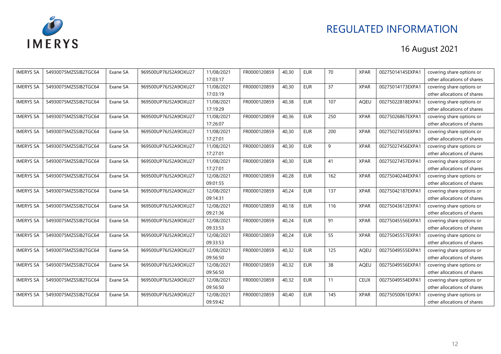

| <b>IMERYS SA</b> | 54930075MZSSIB2TGC64 | Exane SA | 969500UP76J52A9OXU27 | 11/08/2021 | FR0000120859 | 40,30 | <b>EUR</b> | 70  | <b>XPAR</b> | 00275014145EXPA1 | covering share options or   |
|------------------|----------------------|----------|----------------------|------------|--------------|-------|------------|-----|-------------|------------------|-----------------------------|
|                  |                      |          |                      | 17:03:17   |              |       |            |     |             |                  | other allocations of shares |
| <b>IMERYS SA</b> | 54930075MZSSIB2TGC64 | Exane SA | 969500UP76J52A9OXU27 | 11/08/2021 | FR0000120859 | 40,30 | <b>EUR</b> | 37  | <b>XPAR</b> | 00275014173EXPA1 | covering share options or   |
|                  |                      |          |                      | 17:03:19   |              |       |            |     |             |                  | other allocations of shares |
| <b>IMERYS SA</b> | 54930075MZSSIB2TGC64 | Exane SA | 969500UP76J52A9OXU27 | 11/08/2021 | FR0000120859 | 40,38 | <b>EUR</b> | 107 | <b>AQEU</b> | 00275022818EXPA1 | covering share options or   |
|                  |                      |          |                      | 17:19:29   |              |       |            |     |             |                  | other allocations of shares |
| <b>IMERYS SA</b> | 54930075MZSSIB2TGC64 | Exane SA | 969500UP76J52A9OXU27 | 11/08/2021 | FR0000120859 | 40,36 | <b>EUR</b> | 250 | <b>XPAR</b> | 00275026867EXPA1 | covering share options or   |
|                  |                      |          |                      | 17:26:07   |              |       |            |     |             |                  | other allocations of shares |
| <b>IMERYS SA</b> | 54930075MZSSIB2TGC64 | Exane SA | 969500UP76J52A9OXU27 | 11/08/2021 | FR0000120859 | 40,30 | <b>EUR</b> | 200 | <b>XPAR</b> | 00275027455EXPA1 | covering share options or   |
|                  |                      |          |                      | 17:27:01   |              |       |            |     |             |                  | other allocations of shares |
| <b>IMERYS SA</b> | 54930075MZSSIB2TGC64 | Exane SA | 969500UP76J52A9OXU27 | 11/08/2021 | FR0000120859 | 40,30 | <b>EUR</b> | 9   | <b>XPAR</b> | 00275027456EXPA1 | covering share options or   |
|                  |                      |          |                      | 17:27:01   |              |       |            |     |             |                  | other allocations of shares |
| <b>IMERYS SA</b> | 54930075MZSSIB2TGC64 | Exane SA | 969500UP76J52A9OXU27 | 11/08/2021 | FR0000120859 | 40,30 | <b>EUR</b> | 41  | <b>XPAR</b> | 00275027457EXPA1 | covering share options or   |
|                  |                      |          |                      | 17:27:01   |              |       |            |     |             |                  | other allocations of shares |
| <b>IMERYS SA</b> | 54930075MZSSIB2TGC64 | Exane SA | 969500UP76J52A9OXU27 | 12/08/2021 | FR0000120859 | 40,28 | <b>EUR</b> | 162 | <b>XPAR</b> | 00275040244EXPA1 | covering share options or   |
|                  |                      |          |                      | 09:01:55   |              |       |            |     |             |                  | other allocations of shares |
| <b>IMERYS SA</b> | 54930075MZSSIB2TGC64 | Exane SA | 969500UP76J52A9OXU27 | 12/08/2021 | FR0000120859 | 40,24 | <b>EUR</b> | 137 | <b>XPAR</b> | 00275042187EXPA1 | covering share options or   |
|                  |                      |          |                      | 09:14:31   |              |       |            |     |             |                  | other allocations of shares |
| <b>IMERYS SA</b> | 54930075MZSSIB2TGC64 | Exane SA | 969500UP76J52A9OXU27 | 12/08/2021 | FR0000120859 | 40,18 | <b>EUR</b> | 116 | <b>XPAR</b> | 00275043612EXPA1 | covering share options or   |
|                  |                      |          |                      | 09:21:36   |              |       |            |     |             |                  | other allocations of shares |
| <b>IMERYS SA</b> | 54930075MZSSIB2TGC64 | Exane SA | 969500UP76J52A9OXU27 | 12/08/2021 | FR0000120859 | 40,24 | <b>EUR</b> | 91  | <b>XPAR</b> | 00275045556EXPA1 | covering share options or   |
|                  |                      |          |                      | 09:33:53   |              |       |            |     |             |                  | other allocations of shares |
| <b>IMERYS SA</b> | 54930075MZSSIB2TGC64 | Exane SA | 969500UP76J52A9OXU27 | 12/08/2021 | FR0000120859 | 40,24 | <b>EUR</b> | 55  | <b>XPAR</b> | 00275045557EXPA1 | covering share options or   |
|                  |                      |          |                      | 09:33:53   |              |       |            |     |             |                  | other allocations of shares |
| <b>IMERYS SA</b> | 54930075MZSSIB2TGC64 | Exane SA | 969500UP76J52A9OXU27 | 12/08/2021 | FR0000120859 | 40,32 | <b>EUR</b> | 125 | AQEU        | 00275049555EXPA1 | covering share options or   |
|                  |                      |          |                      | 09:56:50   |              |       |            |     |             |                  | other allocations of shares |
| <b>IMERYS SA</b> | 54930075MZSSIB2TGC64 | Exane SA | 969500UP76J52A9OXU27 | 12/08/2021 | FR0000120859 | 40,32 | <b>EUR</b> | 38  | <b>AQEU</b> | 00275049556EXPA1 | covering share options or   |
|                  |                      |          |                      | 09:56:50   |              |       |            |     |             |                  | other allocations of shares |
| <b>IMERYS SA</b> | 54930075MZSSIB2TGC64 | Exane SA | 969500UP76J52A9OXU27 | 12/08/2021 | FR0000120859 | 40.32 | <b>EUR</b> | 11  | <b>CEUX</b> | 00275049554EXPA1 | covering share options or   |
|                  |                      |          |                      | 09:56:50   |              |       |            |     |             |                  | other allocations of shares |
| <b>IMERYS SA</b> | 54930075MZSSIB2TGC64 | Exane SA | 969500UP76J52A9OXU27 | 12/08/2021 | FR0000120859 | 40,40 | <b>EUR</b> | 145 | <b>XPAR</b> | 00275050061EXPA1 | covering share options or   |
|                  |                      |          |                      | 09:59:42   |              |       |            |     |             |                  | other allocations of shares |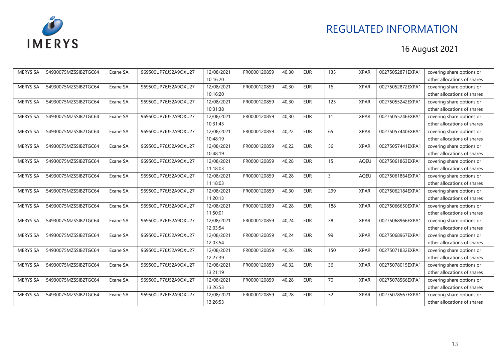

| <b>IMERYS SA</b> | 54930075MZSSIB2TGC64 | Exane SA | 969500UP76J52A9OXU27 | 12/08/2021 | FR0000120859 | 40,30 | <b>EUR</b> | 135 | <b>XPAR</b> | 00275052871EXPA1 | covering share options or   |
|------------------|----------------------|----------|----------------------|------------|--------------|-------|------------|-----|-------------|------------------|-----------------------------|
|                  |                      |          |                      | 10:16:20   |              |       |            |     |             |                  | other allocations of shares |
| <b>IMERYS SA</b> | 54930075MZSSIB2TGC64 | Exane SA | 969500UP76J52A9OXU27 | 12/08/2021 | FR0000120859 | 40,30 | <b>EUR</b> | 16  | <b>XPAR</b> | 00275052872EXPA1 | covering share options or   |
|                  |                      |          |                      | 10:16:20   |              |       |            |     |             |                  | other allocations of shares |
| <b>IMERYS SA</b> | 54930075MZSSIB2TGC64 | Exane SA | 969500UP76J52A9OXU27 | 12/08/2021 | FR0000120859 | 40,30 | <b>EUR</b> | 125 | <b>XPAR</b> | 00275055242EXPA1 | covering share options or   |
|                  |                      |          |                      | 10:31:38   |              |       |            |     |             |                  | other allocations of shares |
| <b>IMERYS SA</b> | 54930075MZSSIB2TGC64 | Exane SA | 969500UP76J52A9OXU27 | 12/08/2021 | FR0000120859 | 40,30 | <b>EUR</b> | 11  | <b>XPAR</b> | 00275055246EXPA1 | covering share options or   |
|                  |                      |          |                      | 10:31:43   |              |       |            |     |             |                  | other allocations of shares |
| <b>IMERYS SA</b> | 54930075MZSSIB2TGC64 | Exane SA | 969500UP76J52A9OXU27 | 12/08/2021 | FR0000120859 | 40,22 | <b>EUR</b> | 65  | <b>XPAR</b> | 00275057440EXPA1 | covering share options or   |
|                  |                      |          |                      | 10:48:19   |              |       |            |     |             |                  | other allocations of shares |
| <b>IMERYS SA</b> | 54930075MZSSIB2TGC64 | Exane SA | 969500UP76J52A9OXU27 | 12/08/2021 | FR0000120859 | 40,22 | <b>EUR</b> | 56  | <b>XPAR</b> | 00275057441EXPA1 | covering share options or   |
|                  |                      |          |                      | 10:48:19   |              |       |            |     |             |                  | other allocations of shares |
| <b>IMERYS SA</b> | 54930075MZSSIB2TGC64 | Exane SA | 969500UP76J52A9OXU27 | 12/08/2021 | FR0000120859 | 40,28 | <b>EUR</b> | 15  | AQEU        | 00275061863EXPA1 | covering share options or   |
|                  |                      |          |                      | 11:18:03   |              |       |            |     |             |                  | other allocations of shares |
| <b>IMERYS SA</b> | 54930075MZSSIB2TGC64 | Exane SA | 969500UP76J52A9OXU27 | 12/08/2021 | FR0000120859 | 40,28 | <b>EUR</b> | 3   | <b>AOEU</b> | 00275061864EXPA1 | covering share options or   |
|                  |                      |          |                      | 11:18:03   |              |       |            |     |             |                  | other allocations of shares |
| <b>IMERYS SA</b> | 54930075MZSSIB2TGC64 | Exane SA | 969500UP76J52A9OXU27 | 12/08/2021 | FR0000120859 | 40,30 | <b>EUR</b> | 299 | <b>XPAR</b> | 00275062184EXPA1 | covering share options or   |
|                  |                      |          |                      | 11:20:13   |              |       |            |     |             |                  | other allocations of shares |
| <b>IMERYS SA</b> | 54930075MZSSIB2TGC64 | Exane SA | 969500UP76J52A9OXU27 | 12/08/2021 | FR0000120859 | 40,28 | <b>EUR</b> | 188 | <b>XPAR</b> | 00275066650EXPA1 | covering share options or   |
|                  |                      |          |                      | 11:50:01   |              |       |            |     |             |                  | other allocations of shares |
| <b>IMERYS SA</b> | 54930075MZSSIB2TGC64 | Exane SA | 969500UP76J52A9OXU27 | 12/08/2021 | FR0000120859 | 40,24 | <b>EUR</b> | 38  | <b>XPAR</b> | 00275068966EXPA1 | covering share options or   |
|                  |                      |          |                      | 12:03:54   |              |       |            |     |             |                  | other allocations of shares |
| <b>IMERYS SA</b> | 54930075MZSSIB2TGC64 | Exane SA | 969500UP76J52A9OXU27 | 12/08/2021 | FR0000120859 | 40,24 | <b>EUR</b> | 99  | <b>XPAR</b> | 00275068967EXPA1 | covering share options or   |
|                  |                      |          |                      | 12:03:54   |              |       |            |     |             |                  | other allocations of shares |
| <b>IMERYS SA</b> | 54930075MZSSIB2TGC64 | Exane SA | 969500UP76J52A9OXU27 | 12/08/2021 | FR0000120859 | 40,26 | <b>EUR</b> | 150 | <b>XPAR</b> | 00275071832EXPA1 | covering share options or   |
|                  |                      |          |                      | 12:27:39   |              |       |            |     |             |                  | other allocations of shares |
| <b>IMERYS SA</b> | 54930075MZSSIB2TGC64 | Exane SA | 969500UP76J52A9OXU27 | 12/08/2021 | FR0000120859 | 40,32 | <b>EUR</b> | 36  | <b>XPAR</b> | 00275078015EXPA1 | covering share options or   |
|                  |                      |          |                      | 13:21:19   |              |       |            |     |             |                  | other allocations of shares |
| <b>IMERYS SA</b> | 54930075MZSSIB2TGC64 | Exane SA | 969500UP76J52A9OXU27 | 12/08/2021 | FR0000120859 | 40,28 | <b>EUR</b> | 70  | <b>XPAR</b> | 00275078566EXPA1 | covering share options or   |
|                  |                      |          |                      | 13:26:53   |              |       |            |     |             |                  | other allocations of shares |
| <b>IMERYS SA</b> | 54930075MZSSIB2TGC64 | Exane SA | 969500UP76J52A9OXU27 | 12/08/2021 | FR0000120859 | 40,28 | <b>EUR</b> | 52  | <b>XPAR</b> | 00275078567EXPA1 | covering share options or   |
|                  |                      |          |                      | 13:26:53   |              |       |            |     |             |                  | other allocations of shares |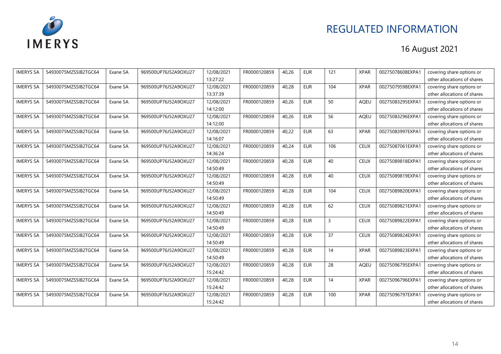

| <b>IMERYS SA</b> | 54930075MZSSIB2TGC64 | Exane SA | 969500UP76J52A9OXU27 | 12/08/2021 | FR0000120859 | 40,26 | <b>EUR</b> | 121            | <b>XPAR</b> | 00275078608EXPA1 | covering share options or   |
|------------------|----------------------|----------|----------------------|------------|--------------|-------|------------|----------------|-------------|------------------|-----------------------------|
|                  |                      |          |                      | 13:27:22   |              |       |            |                |             |                  | other allocations of shares |
| <b>IMERYS SA</b> | 54930075MZSSIB2TGC64 | Exane SA | 969500UP76J52A9OXU27 | 12/08/2021 | FR0000120859 | 40,28 | <b>EUR</b> | 104            | <b>XPAR</b> | 00275079598EXPA1 | covering share options or   |
|                  |                      |          |                      | 13:37:39   |              |       |            |                |             |                  | other allocations of shares |
| <b>IMERYS SA</b> | 54930075MZSSIB2TGC64 | Exane SA | 969500UP76J52A9OXU27 | 12/08/2021 | FR0000120859 | 40,26 | <b>EUR</b> | 50             | AQEU        | 00275083295EXPA1 | covering share options or   |
|                  |                      |          |                      | 14:12:00   |              |       |            |                |             |                  | other allocations of shares |
| <b>IMERYS SA</b> | 54930075MZSSIB2TGC64 | Exane SA | 969500UP76J52A9OXU27 | 12/08/2021 | FR0000120859 | 40,26 | <b>EUR</b> | 56             | AQEU        | 00275083296EXPA1 | covering share options or   |
|                  |                      |          |                      | 14:12:00   |              |       |            |                |             |                  | other allocations of shares |
| <b>IMERYS SA</b> | 54930075MZSSIB2TGC64 | Exane SA | 969500UP76J52A9OXU27 | 12/08/2021 | FR0000120859 | 40,22 | <b>EUR</b> | 63             | <b>XPAR</b> | 00275083997EXPA1 | covering share options or   |
|                  |                      |          |                      | 14:16:07   |              |       |            |                |             |                  | other allocations of shares |
| <b>IMERYS SA</b> | 54930075MZSSIB2TGC64 | Exane SA | 969500UP76J52A9OXU27 | 12/08/2021 | FR0000120859 | 40,24 | <b>EUR</b> | 106            | <b>CEUX</b> | 00275087061EXPA1 | covering share options or   |
|                  |                      |          |                      | 14:36:24   |              |       |            |                |             |                  | other allocations of shares |
| <b>IMERYS SA</b> | 54930075MZSSIB2TGC64 | Exane SA | 969500UP76J52A9OXU27 | 12/08/2021 | FR0000120859 | 40,28 | <b>EUR</b> | 40             | <b>CEUX</b> | 00275089818EXPA1 | covering share options or   |
|                  |                      |          |                      | 14:50:49   |              |       |            |                |             |                  | other allocations of shares |
| <b>IMERYS SA</b> | 54930075MZSSIB2TGC64 | Exane SA | 969500UP76J52A9OXU27 | 12/08/2021 | FR0000120859 | 40,28 | <b>EUR</b> | 40             | <b>CEUX</b> | 00275089819EXPA1 | covering share options or   |
|                  |                      |          |                      | 14:50:49   |              |       |            |                |             |                  | other allocations of shares |
| <b>IMERYS SA</b> | 54930075MZSSIB2TGC64 | Exane SA | 969500UP76J52A9OXU27 | 12/08/2021 | FR0000120859 | 40,28 | <b>EUR</b> | 104            | <b>CEUX</b> | 00275089820EXPA1 | covering share options or   |
|                  |                      |          |                      | 14:50:49   |              |       |            |                |             |                  | other allocations of shares |
| <b>IMERYS SA</b> | 54930075MZSSIB2TGC64 | Exane SA | 969500UP76J52A9OXU27 | 12/08/2021 | FR0000120859 | 40,28 | <b>EUR</b> | 62             | <b>CEUX</b> | 00275089821EXPA1 | covering share options or   |
|                  |                      |          |                      | 14:50:49   |              |       |            |                |             |                  | other allocations of shares |
| <b>IMERYS SA</b> | 54930075MZSSIB2TGC64 | Exane SA | 969500UP76J52A9OXU27 | 12/08/2021 | FR0000120859 | 40,28 | <b>EUR</b> | $\overline{3}$ | <b>CEUX</b> | 00275089822EXPA1 | covering share options or   |
|                  |                      |          |                      | 14:50:49   |              |       |            |                |             |                  | other allocations of shares |
| <b>IMERYS SA</b> | 54930075MZSSIB2TGC64 | Exane SA | 969500UP76J52A9OXU27 | 12/08/2021 | FR0000120859 | 40,28 | <b>EUR</b> | 37             | <b>CEUX</b> | 00275089824EXPA1 | covering share options or   |
|                  |                      |          |                      | 14:50:49   |              |       |            |                |             |                  | other allocations of shares |
| <b>IMERYS SA</b> | 54930075MZSSIB2TGC64 | Exane SA | 969500UP76J52A9OXU27 | 12/08/2021 | FR0000120859 | 40,28 | <b>EUR</b> | 14             | <b>XPAR</b> | 00275089823EXPA1 | covering share options or   |
|                  |                      |          |                      | 14:50:49   |              |       |            |                |             |                  | other allocations of shares |
| <b>IMERYS SA</b> | 54930075MZSSIB2TGC64 | Exane SA | 969500UP76J52A9OXU27 | 12/08/2021 | FR0000120859 | 40,28 | <b>EUR</b> | 28             | <b>AQEU</b> | 00275096795EXPA1 | covering share options or   |
|                  |                      |          |                      | 15:24:42   |              |       |            |                |             |                  | other allocations of shares |
| <b>IMERYS SA</b> | 54930075MZSSIB2TGC64 | Exane SA | 969500UP76J52A9OXU27 | 12/08/2021 | FR0000120859 | 40,28 | <b>EUR</b> | 14             | <b>XPAR</b> | 00275096796EXPA1 | covering share options or   |
|                  |                      |          |                      | 15:24:42   |              |       |            |                |             |                  | other allocations of shares |
| <b>IMERYS SA</b> | 54930075MZSSIB2TGC64 | Exane SA | 969500UP76J52A9OXU27 | 12/08/2021 | FR0000120859 | 40,28 | <b>EUR</b> | 100            | <b>XPAR</b> | 00275096797EXPA1 | covering share options or   |
|                  |                      |          |                      | 15:24:42   |              |       |            |                |             |                  | other allocations of shares |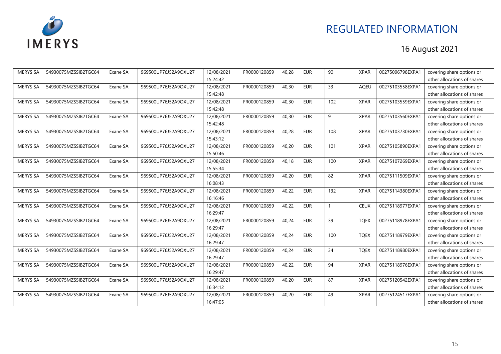

| <b>IMERYS SA</b> | 54930075MZSSIB2TGC64 | Exane SA | 969500UP76J52A9OXU27 | 12/08/2021 | FR0000120859 | 40,28 | <b>EUR</b> | 90  | <b>XPAR</b> | 00275096798EXPA1 | covering share options or   |
|------------------|----------------------|----------|----------------------|------------|--------------|-------|------------|-----|-------------|------------------|-----------------------------|
|                  |                      |          |                      | 15:24:42   |              |       |            |     |             |                  | other allocations of shares |
| <b>IMERYS SA</b> | 54930075MZSSIB2TGC64 | Exane SA | 969500UP76J52A9OXU27 | 12/08/2021 | FR0000120859 | 40,30 | <b>EUR</b> | 33  | <b>AOEU</b> | 00275103558EXPA1 | covering share options or   |
|                  |                      |          |                      | 15:42:48   |              |       |            |     |             |                  | other allocations of shares |
| <b>IMERYS SA</b> | 54930075MZSSIB2TGC64 | Exane SA | 969500UP76J52A9OXU27 | 12/08/2021 | FR0000120859 | 40,30 | <b>EUR</b> | 102 | <b>XPAR</b> | 00275103559EXPA1 | covering share options or   |
|                  |                      |          |                      | 15:42:48   |              |       |            |     |             |                  | other allocations of shares |
| <b>IMERYS SA</b> | 54930075MZSSIB2TGC64 | Exane SA | 969500UP76J52A9OXU27 | 12/08/2021 | FR0000120859 | 40,30 | <b>EUR</b> | 9   | <b>XPAR</b> | 00275103560EXPA1 | covering share options or   |
|                  |                      |          |                      | 15:42:48   |              |       |            |     |             |                  | other allocations of shares |
| <b>IMERYS SA</b> | 54930075MZSSIB2TGC64 | Exane SA | 969500UP76J52A9OXU27 | 12/08/2021 | FR0000120859 | 40,28 | <b>EUR</b> | 108 | <b>XPAR</b> | 00275103730EXPA1 | covering share options or   |
|                  |                      |          |                      | 15:43:12   |              |       |            |     |             |                  | other allocations of shares |
| <b>IMERYS SA</b> | 54930075MZSSIB2TGC64 | Exane SA | 969500UP76J52A9OXU27 | 12/08/2021 | FR0000120859 | 40,20 | <b>EUR</b> | 101 | <b>XPAR</b> | 00275105890EXPA1 | covering share options or   |
|                  |                      |          |                      | 15:50:46   |              |       |            |     |             |                  | other allocations of shares |
| <b>IMERYS SA</b> | 54930075MZSSIB2TGC64 | Exane SA | 969500UP76J52A9OXU27 | 12/08/2021 | FR0000120859 | 40,18 | <b>EUR</b> | 100 | <b>XPAR</b> | 00275107269EXPA1 | covering share options or   |
|                  |                      |          |                      | 15:55:34   |              |       |            |     |             |                  | other allocations of shares |
| <b>IMERYS SA</b> | 54930075MZSSIB2TGC64 | Exane SA | 969500UP76J52A9OXU27 | 12/08/2021 | FR0000120859 | 40,20 | <b>EUR</b> | 82  | <b>XPAR</b> | 00275111509EXPA1 | covering share options or   |
|                  |                      |          |                      | 16:08:43   |              |       |            |     |             |                  | other allocations of shares |
| <b>IMERYS SA</b> | 54930075MZSSIB2TGC64 | Exane SA | 969500UP76J52A9OXU27 | 12/08/2021 | FR0000120859 | 40,22 | <b>EUR</b> | 132 | <b>XPAR</b> | 00275114380EXPA1 | covering share options or   |
|                  |                      |          |                      | 16:16:46   |              |       |            |     |             |                  | other allocations of shares |
| <b>IMERYS SA</b> | 54930075MZSSIB2TGC64 | Exane SA | 969500UP76J52A9OXU27 | 12/08/2021 | FR0000120859 | 40,22 | <b>EUR</b> |     | <b>CEUX</b> | 00275118977EXPA1 | covering share options or   |
|                  |                      |          |                      | 16:29:47   |              |       |            |     |             |                  | other allocations of shares |
| <b>IMERYS SA</b> | 54930075MZSSIB2TGC64 | Exane SA | 969500UP76J52A9OXU27 | 12/08/2021 | FR0000120859 | 40,24 | <b>EUR</b> | 39  | <b>TQEX</b> | 00275118978EXPA1 | covering share options or   |
|                  |                      |          |                      | 16:29:47   |              |       |            |     |             |                  | other allocations of shares |
| <b>IMERYS SA</b> | 54930075MZSSIB2TGC64 | Exane SA | 969500UP76J52A9OXU27 | 12/08/2021 | FR0000120859 | 40,24 | <b>EUR</b> | 100 | <b>TQEX</b> | 00275118979EXPA1 | covering share options or   |
|                  |                      |          |                      | 16:29:47   |              |       |            |     |             |                  | other allocations of shares |
| <b>IMERYS SA</b> | 54930075MZSSIB2TGC64 | Exane SA | 969500UP76J52A9OXU27 | 12/08/2021 | FR0000120859 | 40,24 | <b>EUR</b> | 34  | <b>TQEX</b> | 00275118980EXPA1 | covering share options or   |
|                  |                      |          |                      | 16:29:47   |              |       |            |     |             |                  | other allocations of shares |
| <b>IMERYS SA</b> | 54930075MZSSIB2TGC64 | Exane SA | 969500UP76J52A9OXU27 | 12/08/2021 | FR0000120859 | 40,22 | <b>EUR</b> | 94  | <b>XPAR</b> | 00275118976EXPA1 | covering share options or   |
|                  |                      |          |                      | 16:29:47   |              |       |            |     |             |                  | other allocations of shares |
| <b>IMERYS SA</b> | 54930075MZSSIB2TGC64 | Exane SA | 969500UP76J52A9OXU27 | 12/08/2021 | FR0000120859 | 40,20 | <b>EUR</b> | 87  | <b>XPAR</b> | 00275120542EXPA1 | covering share options or   |
|                  |                      |          |                      | 16:34:12   |              |       |            |     |             |                  | other allocations of shares |
| <b>IMERYS SA</b> | 54930075MZSSIB2TGC64 | Exane SA | 969500UP76J52A9OXU27 | 12/08/2021 | FR0000120859 | 40,20 | <b>EUR</b> | 49  | <b>XPAR</b> | 00275124517EXPA1 | covering share options or   |
|                  |                      |          |                      | 16:47:05   |              |       |            |     |             |                  | other allocations of shares |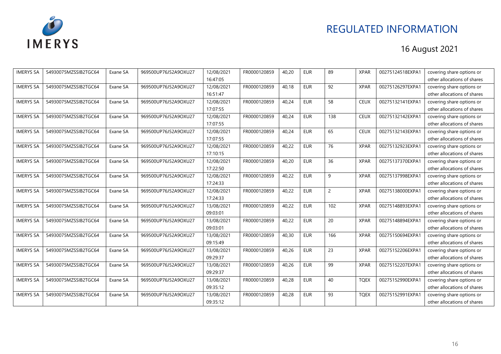

| <b>IMERYS SA</b> | 54930075MZSSIB2TGC64 | Exane SA | 969500UP76J52A9OXU27 | 12/08/2021 | FR0000120859 | 40,20 | <b>EUR</b> | 89             | <b>XPAR</b> | 00275124518EXPA1 | covering share options or   |
|------------------|----------------------|----------|----------------------|------------|--------------|-------|------------|----------------|-------------|------------------|-----------------------------|
|                  |                      |          |                      | 16:47:05   |              |       |            |                |             |                  | other allocations of shares |
| <b>IMERYS SA</b> | 54930075MZSSIB2TGC64 | Exane SA | 969500UP76J52A9OXU27 | 12/08/2021 | FR0000120859 | 40.18 | <b>EUR</b> | 92             | <b>XPAR</b> | 00275126297EXPA1 | covering share options or   |
|                  |                      |          |                      | 16:51:47   |              |       |            |                |             |                  | other allocations of shares |
| <b>IMERYS SA</b> | 54930075MZSSIB2TGC64 | Exane SA | 969500UP76J52A9OXU27 | 12/08/2021 | FR0000120859 | 40,24 | <b>EUR</b> | 58             | <b>CEUX</b> | 00275132141EXPA1 | covering share options or   |
|                  |                      |          |                      | 17:07:55   |              |       |            |                |             |                  | other allocations of shares |
| <b>IMERYS SA</b> | 54930075MZSSIB2TGC64 | Exane SA | 969500UP76J52A9OXU27 | 12/08/2021 | FR0000120859 | 40,24 | <b>EUR</b> | 138            | <b>CEUX</b> | 00275132142EXPA1 | covering share options or   |
|                  |                      |          |                      | 17:07:55   |              |       |            |                |             |                  | other allocations of shares |
| <b>IMERYS SA</b> | 54930075MZSSIB2TGC64 | Exane SA | 969500UP76J52A9OXU27 | 12/08/2021 | FR0000120859 | 40,24 | <b>EUR</b> | 65             | <b>CEUX</b> | 00275132143EXPA1 | covering share options or   |
|                  |                      |          |                      | 17:07:55   |              |       |            |                |             |                  | other allocations of shares |
| <b>IMERYS SA</b> | 54930075MZSSIB2TGC64 | Exane SA | 969500UP76J52A9OXU27 | 12/08/2021 | FR0000120859 | 40,22 | <b>EUR</b> | 76             | <b>XPAR</b> | 00275132923EXPA1 | covering share options or   |
|                  |                      |          |                      | 17:10:15   |              |       |            |                |             |                  | other allocations of shares |
| <b>IMERYS SA</b> | 54930075MZSSIB2TGC64 | Exane SA | 969500UP76J52A9OXU27 | 12/08/2021 | FR0000120859 | 40,20 | <b>EUR</b> | 36             | <b>XPAR</b> | 00275137370EXPA1 | covering share options or   |
|                  |                      |          |                      | 17:22:50   |              |       |            |                |             |                  | other allocations of shares |
| <b>IMERYS SA</b> | 54930075MZSSIB2TGC64 | Exane SA | 969500UP76J52A9OXU27 | 12/08/2021 | FR0000120859 | 40,22 | <b>EUR</b> | 9              | <b>XPAR</b> | 00275137998EXPA1 | covering share options or   |
|                  |                      |          |                      | 17:24:33   |              |       |            |                |             |                  | other allocations of shares |
| <b>IMERYS SA</b> | 54930075MZSSIB2TGC64 | Exane SA | 969500UP76J52A9OXU27 | 12/08/2021 | FR0000120859 | 40,22 | <b>EUR</b> | $\overline{c}$ | <b>XPAR</b> | 00275138000EXPA1 | covering share options or   |
|                  |                      |          |                      | 17:24:33   |              |       |            |                |             |                  | other allocations of shares |
| <b>IMERYS SA</b> | 54930075MZSSIB2TGC64 | Exane SA | 969500UP76J52A9OXU27 | 13/08/2021 | FR0000120859 | 40,22 | <b>EUR</b> | 102            | <b>XPAR</b> | 00275148893EXPA1 | covering share options or   |
|                  |                      |          |                      | 09:03:01   |              |       |            |                |             |                  | other allocations of shares |
| <b>IMERYS SA</b> | 54930075MZSSIB2TGC64 | Exane SA | 969500UP76J52A9OXU27 | 13/08/2021 | FR0000120859 | 40,22 | <b>EUR</b> | 20             | <b>XPAR</b> | 00275148894EXPA1 | covering share options or   |
|                  |                      |          |                      | 09:03:01   |              |       |            |                |             |                  | other allocations of shares |
| <b>IMERYS SA</b> | 54930075MZSSIB2TGC64 | Exane SA | 969500UP76J52A9OXU27 | 13/08/2021 | FR0000120859 | 40,30 | <b>EUR</b> | 166            | <b>XPAR</b> | 00275150694EXPA1 | covering share options or   |
|                  |                      |          |                      | 09:15:49   |              |       |            |                |             |                  | other allocations of shares |
| <b>IMERYS SA</b> | 54930075MZSSIB2TGC64 | Exane SA | 969500UP76J52A9OXU27 | 13/08/2021 | FR0000120859 | 40,26 | <b>EUR</b> | 23             | <b>XPAR</b> | 00275152206EXPA1 | covering share options or   |
|                  |                      |          |                      | 09:29:37   |              |       |            |                |             |                  | other allocations of shares |
| <b>IMERYS SA</b> | 54930075MZSSIB2TGC64 | Exane SA | 969500UP76J52A9OXU27 | 13/08/2021 | FR0000120859 | 40,26 | <b>EUR</b> | 99             | <b>XPAR</b> | 00275152207EXPA1 | covering share options or   |
|                  |                      |          |                      | 09:29:37   |              |       |            |                |             |                  | other allocations of shares |
| <b>IMERYS SA</b> | 54930075MZSSIB2TGC64 | Exane SA | 969500UP76J52A9OXU27 | 13/08/2021 | FR0000120859 | 40,28 | <b>EUR</b> | 40             | <b>TQEX</b> | 00275152990EXPA1 | covering share options or   |
|                  |                      |          |                      | 09:35:12   |              |       |            |                |             |                  | other allocations of shares |
| <b>IMERYS SA</b> | 54930075MZSSIB2TGC64 | Exane SA | 969500UP76J52A9OXU27 | 13/08/2021 | FR0000120859 | 40,28 | <b>EUR</b> | 93             | <b>TQEX</b> | 00275152991EXPA1 | covering share options or   |
|                  |                      |          |                      | 09:35:12   |              |       |            |                |             |                  | other allocations of shares |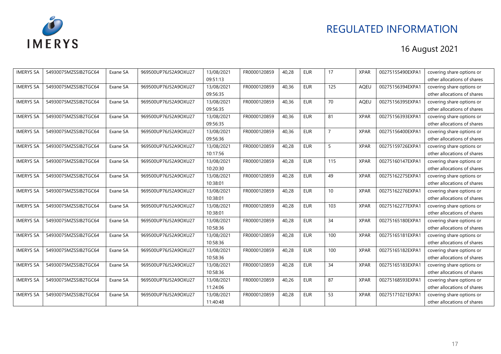

| <b>IMERYS SA</b> | 54930075MZSSIB2TGC64 | Exane SA | 969500UP76J52A9OXU27 | 13/08/2021 | FR0000120859 | 40,28 | <b>EUR</b> | 17             | <b>XPAR</b> | 00275155490EXPA1 | covering share options or   |
|------------------|----------------------|----------|----------------------|------------|--------------|-------|------------|----------------|-------------|------------------|-----------------------------|
|                  |                      |          |                      | 09:51:13   |              |       |            |                |             |                  | other allocations of shares |
| <b>IMERYS SA</b> | 54930075MZSSIB2TGC64 | Exane SA | 969500UP76J52A9OXU27 | 13/08/2021 | FR0000120859 | 40,36 | <b>EUR</b> | 125            | <b>AOEU</b> | 00275156394EXPA1 | covering share options or   |
|                  |                      |          |                      | 09:56:35   |              |       |            |                |             |                  | other allocations of shares |
| <b>IMERYS SA</b> | 54930075MZSSIB2TGC64 | Exane SA | 969500UP76J52A9OXU27 | 13/08/2021 | FR0000120859 | 40,36 | <b>EUR</b> | 70             | AQEU        | 00275156395EXPA1 | covering share options or   |
|                  |                      |          |                      | 09:56:35   |              |       |            |                |             |                  | other allocations of shares |
| <b>IMERYS SA</b> | 54930075MZSSIB2TGC64 | Exane SA | 969500UP76J52A9OXU27 | 13/08/2021 | FR0000120859 | 40,36 | <b>EUR</b> | 81             | <b>XPAR</b> | 00275156393EXPA1 | covering share options or   |
|                  |                      |          |                      | 09:56:35   |              |       |            |                |             |                  | other allocations of shares |
| <b>IMERYS SA</b> | 54930075MZSSIB2TGC64 | Exane SA | 969500UP76J52A9OXU27 | 13/08/2021 | FR0000120859 | 40,36 | <b>EUR</b> | $\overline{7}$ | <b>XPAR</b> | 00275156400EXPA1 | covering share options or   |
|                  |                      |          |                      | 09:56:36   |              |       |            |                |             |                  | other allocations of shares |
| <b>IMERYS SA</b> | 54930075MZSSIB2TGC64 | Exane SA | 969500UP76J52A9OXU27 | 13/08/2021 | FR0000120859 | 40,28 | <b>EUR</b> | 5              | <b>XPAR</b> | 00275159726EXPA1 | covering share options or   |
|                  |                      |          |                      | 10:17:56   |              |       |            |                |             |                  | other allocations of shares |
| <b>IMERYS SA</b> | 54930075MZSSIB2TGC64 | Exane SA | 969500UP76J52A9OXU27 | 13/08/2021 | FR0000120859 | 40,28 | <b>EUR</b> | 115            | <b>XPAR</b> | 00275160147EXPA1 | covering share options or   |
|                  |                      |          |                      | 10:20:30   |              |       |            |                |             |                  | other allocations of shares |
| <b>IMERYS SA</b> | 54930075MZSSIB2TGC64 | Exane SA | 969500UP76J52A9OXU27 | 13/08/2021 | FR0000120859 | 40,28 | <b>EUR</b> | 49             | <b>XPAR</b> | 00275162275EXPA1 | covering share options or   |
|                  |                      |          |                      | 10:38:01   |              |       |            |                |             |                  | other allocations of shares |
| <b>IMERYS SA</b> | 54930075MZSSIB2TGC64 | Exane SA | 969500UP76J52A9OXU27 | 13/08/2021 | FR0000120859 | 40,28 | <b>EUR</b> | 10             | <b>XPAR</b> | 00275162276EXPA1 | covering share options or   |
|                  |                      |          |                      | 10:38:01   |              |       |            |                |             |                  | other allocations of shares |
| <b>IMERYS SA</b> | 54930075MZSSIB2TGC64 | Exane SA | 969500UP76J52A9OXU27 | 13/08/2021 | FR0000120859 | 40,28 | <b>EUR</b> | 103            | <b>XPAR</b> | 00275162277EXPA1 | covering share options or   |
|                  |                      |          |                      | 10:38:01   |              |       |            |                |             |                  | other allocations of shares |
| <b>IMERYS SA</b> | 54930075MZSSIB2TGC64 | Exane SA | 969500UP76J52A9OXU27 | 13/08/2021 | FR0000120859 | 40,28 | <b>EUR</b> | 34             | <b>XPAR</b> | 00275165180EXPA1 | covering share options or   |
|                  |                      |          |                      | 10:58:36   |              |       |            |                |             |                  | other allocations of shares |
| <b>IMERYS SA</b> | 54930075MZSSIB2TGC64 | Exane SA | 969500UP76J52A9OXU27 | 13/08/2021 | FR0000120859 | 40,28 | <b>EUR</b> | 100            | <b>XPAR</b> | 00275165181EXPA1 | covering share options or   |
|                  |                      |          |                      | 10:58:36   |              |       |            |                |             |                  | other allocations of shares |
| <b>IMERYS SA</b> | 54930075MZSSIB2TGC64 | Exane SA | 969500UP76J52A9OXU27 | 13/08/2021 | FR0000120859 | 40,28 | <b>EUR</b> | 100            | <b>XPAR</b> | 00275165182EXPA1 | covering share options or   |
|                  |                      |          |                      | 10:58:36   |              |       |            |                |             |                  | other allocations of shares |
| <b>IMERYS SA</b> | 54930075MZSSIB2TGC64 | Exane SA | 969500UP76J52A9OXU27 | 13/08/2021 | FR0000120859 | 40,28 | <b>EUR</b> | 34             | <b>XPAR</b> | 00275165183EXPA1 | covering share options or   |
|                  |                      |          |                      | 10:58:36   |              |       |            |                |             |                  | other allocations of shares |
| <b>IMERYS SA</b> | 54930075MZSSIB2TGC64 | Exane SA | 969500UP76J52A9OXU27 | 13/08/2021 | FR0000120859 | 40,26 | <b>EUR</b> | 87             | <b>XPAR</b> | 00275168593EXPA1 | covering share options or   |
|                  |                      |          |                      | 11:24:06   |              |       |            |                |             |                  | other allocations of shares |
| <b>IMERYS SA</b> | 54930075MZSSIB2TGC64 | Exane SA | 969500UP76J52A9OXU27 | 13/08/2021 | FR0000120859 | 40,28 | <b>EUR</b> | 53             | <b>XPAR</b> | 00275171021EXPA1 | covering share options or   |
|                  |                      |          |                      | 11:40:48   |              |       |            |                |             |                  | other allocations of shares |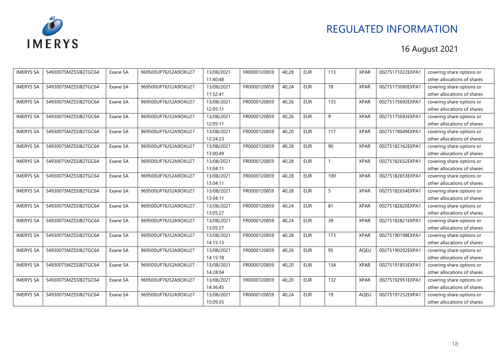

| <b>IMERYS SA</b> | 54930075MZSSIB2TGC64 | Exane SA | 969500UP76J52A9OXU27 | 13/08/2021 | FR0000120859 | 40,28 | <b>EUR</b> | 113 | <b>XPAR</b> | 00275171022EXPA1 | covering share options or   |
|------------------|----------------------|----------|----------------------|------------|--------------|-------|------------|-----|-------------|------------------|-----------------------------|
|                  |                      |          |                      | 11:40:48   |              |       |            |     |             |                  | other allocations of shares |
| <b>IMERYS SA</b> | 54930075MZSSIB2TGC64 | Exane SA | 969500UP76J52A9OXU27 | 13/08/2021 | FR0000120859 | 40,24 | <b>EUR</b> | 78  | <b>XPAR</b> | 00275173080EXPA1 | covering share options or   |
|                  |                      |          |                      | 11:52:41   |              |       |            |     |             |                  | other allocations of shares |
| <b>IMERYS SA</b> | 54930075MZSSIB2TGC64 | Exane SA | 969500UP76J52A9OXU27 | 13/08/2021 | FR0000120859 | 40,26 | <b>EUR</b> | 135 | <b>XPAR</b> | 00275175692EXPA1 | covering share options or   |
|                  |                      |          |                      | 12:05:11   |              |       |            |     |             |                  | other allocations of shares |
| <b>IMERYS SA</b> | 54930075MZSSIB2TGC64 | Exane SA | 969500UP76J52A9OXU27 | 13/08/2021 | FR0000120859 | 40,26 | <b>EUR</b> | 9   | <b>XPAR</b> | 00275175693EXPA1 | covering share options or   |
|                  |                      |          |                      | 12:05:11   |              |       |            |     |             |                  | other allocations of shares |
| <b>IMERYS SA</b> | 54930075MZSSIB2TGC64 | Exane SA | 969500UP76J52A9OXU27 | 13/08/2021 | FR0000120859 | 40,20 | <b>EUR</b> | 117 | <b>XPAR</b> | 00275178049EXPA1 | covering share options or   |
|                  |                      |          |                      | 12:24:23   |              |       |            |     |             |                  | other allocations of shares |
| <b>IMERYS SA</b> | 54930075MZSSIB2TGC64 | Exane SA | 969500UP76J52A9OXU27 | 13/08/2021 | FR0000120859 | 40,28 | <b>EUR</b> | 90  | <b>XPAR</b> | 00275182162EXPA1 | covering share options or   |
|                  |                      |          |                      | 13:00:49   |              |       |            |     |             |                  | other allocations of shares |
| <b>IMERYS SA</b> | 54930075MZSSIB2TGC64 | Exane SA | 969500UP76J52A9OXU27 | 13/08/2021 | FR0000120859 | 40,28 | <b>EUR</b> |     | <b>XPAR</b> | 00275182652EXPA1 | covering share options or   |
|                  |                      |          |                      | 13:04:11   |              |       |            |     |             |                  | other allocations of shares |
| <b>IMERYS SA</b> | 54930075MZSSIB2TGC64 | Exane SA | 969500UP76J52A9OXU27 | 13/08/2021 | FR0000120859 | 40,28 | <b>EUR</b> | 100 | <b>XPAR</b> | 00275182653EXPA1 | covering share options or   |
|                  |                      |          |                      | 13:04:11   |              |       |            |     |             |                  | other allocations of shares |
| <b>IMERYS SA</b> | 54930075MZSSIB2TGC64 | Exane SA | 969500UP76J52A9OXU27 | 13/08/2021 | FR0000120859 | 40,28 | <b>EUR</b> | 5   | <b>XPAR</b> | 00275182654EXPA1 | covering share options or   |
|                  |                      |          |                      | 13:04:11   |              |       |            |     |             |                  | other allocations of shares |
| <b>IMERYS SA</b> | 54930075MZSSIB2TGC64 | Exane SA | 969500UP76J52A9OXU27 | 13/08/2021 | FR0000120859 | 40,24 | <b>EUR</b> | 81  | <b>XPAR</b> | 00275182820EXPA1 | covering share options or   |
|                  |                      |          |                      | 13:05:27   |              |       |            |     |             |                  | other allocations of shares |
| <b>IMERYS SA</b> | 54930075MZSSIB2TGC64 | Exane SA | 969500UP76J52A9OXU27 | 13/08/2021 | FR0000120859 | 40,24 | <b>EUR</b> | 39  | <b>XPAR</b> | 00275182821EXPA1 | covering share options or   |
|                  |                      |          |                      | 13:05:27   |              |       |            |     |             |                  | other allocations of shares |
| <b>IMERYS SA</b> | 54930075MZSSIB2TGC64 | Exane SA | 969500UP76J52A9OXU27 | 13/08/2021 | FR0000120859 | 40,28 | <b>EUR</b> | 173 | <b>XPAR</b> | 00275190198EXPA1 | covering share options or   |
|                  |                      |          |                      | 14:15:13   |              |       |            |     |             |                  | other allocations of shares |
| <b>IMERYS SA</b> | 54930075MZSSIB2TGC64 | Exane SA | 969500UP76J52A9OXU27 | 13/08/2021 | FR0000120859 | 40,26 | <b>EUR</b> | 95  | AQEU        | 00275190202EXPA1 | covering share options or   |
|                  |                      |          |                      | 14:15:18   |              |       |            |     |             |                  | other allocations of shares |
| <b>IMERYS SA</b> | 54930075MZSSIB2TGC64 | Exane SA | 969500UP76J52A9OXU27 | 13/08/2021 | FR0000120859 | 40,20 | <b>EUR</b> | 134 | <b>XPAR</b> | 00275191853EXPA1 | covering share options or   |
|                  |                      |          |                      | 14:28:04   |              |       |            |     |             |                  | other allocations of shares |
| <b>IMERYS SA</b> | 54930075MZSSIB2TGC64 | Exane SA | 969500UP76J52A9OXU27 | 13/08/2021 | FR0000120859 | 40,20 | <b>EUR</b> | 132 | <b>XPAR</b> | 00275192951EXPA1 | covering share options or   |
|                  |                      |          |                      | 14:36:45   |              |       |            |     |             |                  | other allocations of shares |
| <b>IMERYS SA</b> | 54930075MZSSIB2TGC64 | Exane SA | 969500UP76J52A9OXU27 | 13/08/2021 | FR0000120859 | 40,24 | <b>EUR</b> | 19  | AQEU        | 00275197252EXPA1 | covering share options or   |
|                  |                      |          |                      | 15:09:35   |              |       |            |     |             |                  | other allocations of shares |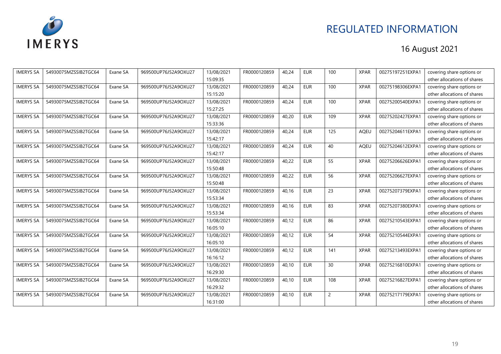

| <b>IMERYS SA</b> | 54930075MZSSIB2TGC64 | Exane SA | 969500UP76J52A9OXU27 | 13/08/2021 | FR0000120859 | 40,24 | <b>EUR</b> | 100            | <b>XPAR</b> | 00275197251EXPA1 | covering share options or   |
|------------------|----------------------|----------|----------------------|------------|--------------|-------|------------|----------------|-------------|------------------|-----------------------------|
|                  |                      |          |                      | 15:09:35   |              |       |            |                |             |                  | other allocations of shares |
| <b>IMERYS SA</b> | 54930075MZSSIB2TGC64 | Exane SA | 969500UP76J52A9OXU27 | 13/08/2021 | FR0000120859 | 40.24 | <b>EUR</b> | 100            | <b>XPAR</b> | 00275198306EXPA1 | covering share options or   |
|                  |                      |          |                      | 15:15:20   |              |       |            |                |             |                  | other allocations of shares |
| <b>IMERYS SA</b> | 54930075MZSSIB2TGC64 | Exane SA | 969500UP76J52A9OXU27 | 13/08/2021 | FR0000120859 | 40,24 | <b>EUR</b> | 100            | <b>XPAR</b> | 00275200540EXPA1 | covering share options or   |
|                  |                      |          |                      | 15:27:25   |              |       |            |                |             |                  | other allocations of shares |
| <b>IMERYS SA</b> | 54930075MZSSIB2TGC64 | Exane SA | 969500UP76J52A9OXU27 | 13/08/2021 | FR0000120859 | 40,20 | <b>EUR</b> | 109            | <b>XPAR</b> | 00275202427EXPA1 | covering share options or   |
|                  |                      |          |                      | 15:33:36   |              |       |            |                |             |                  | other allocations of shares |
| <b>IMERYS SA</b> | 54930075MZSSIB2TGC64 | Exane SA | 969500UP76J52A9OXU27 | 13/08/2021 | FR0000120859 | 40,24 | <b>EUR</b> | 125            | <b>AOEU</b> | 00275204611EXPA1 | covering share options or   |
|                  |                      |          |                      | 15:42:17   |              |       |            |                |             |                  | other allocations of shares |
| <b>IMERYS SA</b> | 54930075MZSSIB2TGC64 | Exane SA | 969500UP76J52A9OXU27 | 13/08/2021 | FR0000120859 | 40,24 | <b>EUR</b> | 40             | <b>AQEU</b> | 00275204612EXPA1 | covering share options or   |
|                  |                      |          |                      | 15:42:17   |              |       |            |                |             |                  | other allocations of shares |
| <b>IMERYS SA</b> | 54930075MZSSIB2TGC64 | Exane SA | 969500UP76J52A9OXU27 | 13/08/2021 | FR0000120859 | 40,22 | <b>EUR</b> | 55             | <b>XPAR</b> | 00275206626EXPA1 | covering share options or   |
|                  |                      |          |                      | 15:50:48   |              |       |            |                |             |                  | other allocations of shares |
| <b>IMERYS SA</b> | 54930075MZSSIB2TGC64 | Exane SA | 969500UP76J52A9OXU27 | 13/08/2021 | FR0000120859 | 40,22 | <b>EUR</b> | 56             | <b>XPAR</b> | 00275206627EXPA1 | covering share options or   |
|                  |                      |          |                      | 15:50:48   |              |       |            |                |             |                  | other allocations of shares |
| <b>IMERYS SA</b> | 54930075MZSSIB2TGC64 | Exane SA | 969500UP76J52A9OXU27 | 13/08/2021 | FR0000120859 | 40.16 | <b>EUR</b> | 23             | <b>XPAR</b> | 00275207379EXPA1 | covering share options or   |
|                  |                      |          |                      | 15:53:34   |              |       |            |                |             |                  | other allocations of shares |
| <b>IMERYS SA</b> | 54930075MZSSIB2TGC64 | Exane SA | 969500UP76J52A9OXU27 | 13/08/2021 | FR0000120859 | 40,16 | <b>EUR</b> | 83             | <b>XPAR</b> | 00275207380EXPA1 | covering share options or   |
|                  |                      |          |                      | 15:53:34   |              |       |            |                |             |                  | other allocations of shares |
| <b>IMERYS SA</b> | 54930075MZSSIB2TGC64 | Exane SA | 969500UP76J52A9OXU27 | 13/08/2021 | FR0000120859 | 40,12 | <b>EUR</b> | 86             | <b>XPAR</b> | 00275210543EXPA1 | covering share options or   |
|                  |                      |          |                      | 16:05:10   |              |       |            |                |             |                  | other allocations of shares |
| <b>IMERYS SA</b> | 54930075MZSSIB2TGC64 | Exane SA | 969500UP76J52A9OXU27 | 13/08/2021 | FR0000120859 | 40.12 | <b>EUR</b> | 54             | <b>XPAR</b> | 00275210544EXPA1 | covering share options or   |
|                  |                      |          |                      | 16:05:10   |              |       |            |                |             |                  | other allocations of shares |
| <b>IMERYS SA</b> | 54930075MZSSIB2TGC64 | Exane SA | 969500UP76J52A9OXU27 | 13/08/2021 | FR0000120859 | 40,12 | <b>EUR</b> | 141            | <b>XPAR</b> | 00275213493EXPA1 | covering share options or   |
|                  |                      |          |                      | 16:16:12   |              |       |            |                |             |                  | other allocations of shares |
| <b>IMERYS SA</b> | 54930075MZSSIB2TGC64 | Exane SA | 969500UP76J52A9OXU27 | 13/08/2021 | FR0000120859 | 40,10 | <b>EUR</b> | 30             | <b>XPAR</b> | 00275216810EXPA1 | covering share options or   |
|                  |                      |          |                      | 16:29:30   |              |       |            |                |             |                  | other allocations of shares |
| <b>IMERYS SA</b> | 54930075MZSSIB2TGC64 | Exane SA | 969500UP76J52A9OXU27 | 13/08/2021 | FR0000120859 | 40,10 | <b>EUR</b> | 108            | <b>XPAR</b> | 00275216827EXPA1 | covering share options or   |
|                  |                      |          |                      | 16:29:32   |              |       |            |                |             |                  | other allocations of shares |
| <b>IMERYS SA</b> | 54930075MZSSIB2TGC64 | Exane SA | 969500UP76J52A9OXU27 | 13/08/2021 | FR0000120859 | 40,10 | <b>EUR</b> | $\overline{2}$ | <b>XPAR</b> | 00275217179EXPA1 | covering share options or   |
|                  |                      |          |                      | 16:31:00   |              |       |            |                |             |                  | other allocations of shares |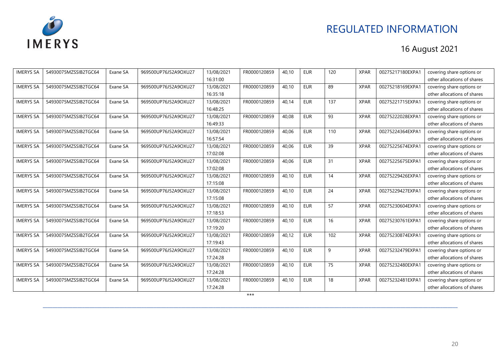

| <b>IMERYS SA</b> | 54930075MZSSIB2TGC64 | Exane SA | 969500UP76J52A9OXU27 | 13/08/2021 | FR0000120859 | 40.10 | <b>EUR</b> | 120 | <b>XPAR</b> | 00275217180EXPA1 | covering share options or   |
|------------------|----------------------|----------|----------------------|------------|--------------|-------|------------|-----|-------------|------------------|-----------------------------|
|                  |                      |          |                      | 16:31:00   |              |       |            |     |             |                  | other allocations of shares |
| <b>IMERYS SA</b> | 54930075MZSSIB2TGC64 | Exane SA | 969500UP76J52A9OXU27 | 13/08/2021 | FR0000120859 | 40.10 | <b>EUR</b> | 89  | <b>XPAR</b> | 00275218169EXPA1 | covering share options or   |
|                  |                      |          |                      | 16:35:18   |              |       |            |     |             |                  | other allocations of shares |
| <b>IMERYS SA</b> | 54930075MZSSIB2TGC64 | Exane SA | 969500UP76J52A9OXU27 | 13/08/2021 | FR0000120859 | 40.14 | <b>EUR</b> | 137 | <b>XPAR</b> | 00275221715EXPA1 | covering share options or   |
|                  |                      |          |                      | 16:48:25   |              |       |            |     |             |                  | other allocations of shares |
| <b>IMERYS SA</b> | 54930075MZSSIB2TGC64 | Exane SA | 969500UP76J52A9OXU27 | 13/08/2021 | FR0000120859 | 40,08 | <b>EUR</b> | 93  | <b>XPAR</b> | 00275222028EXPA1 | covering share options or   |
|                  |                      |          |                      | 16:49:33   |              |       |            |     |             |                  | other allocations of shares |
| <b>IMERYS SA</b> | 54930075MZSSIB2TGC64 | Exane SA | 969500UP76J52A9OXU27 | 13/08/2021 | FR0000120859 | 40,06 | <b>EUR</b> | 110 | <b>XPAR</b> | 00275224364EXPA1 | covering share options or   |
|                  |                      |          |                      | 16:57:54   |              |       |            |     |             |                  | other allocations of shares |
| <b>IMERYS SA</b> | 54930075MZSSIB2TGC64 | Exane SA | 969500UP76J52A9OXU27 | 13/08/2021 | FR0000120859 | 40,06 | <b>EUR</b> | 39  | <b>XPAR</b> | 00275225674EXPA1 | covering share options or   |
|                  |                      |          |                      | 17:02:08   |              |       |            |     |             |                  | other allocations of shares |
| <b>IMERYS SA</b> | 54930075MZSSIB2TGC64 | Exane SA | 969500UP76J52A9OXU27 | 13/08/2021 | FR0000120859 | 40,06 | <b>EUR</b> | 31  | <b>XPAR</b> | 00275225675EXPA1 | covering share options or   |
|                  |                      |          |                      | 17:02:08   |              |       |            |     |             |                  | other allocations of shares |
| <b>IMERYS SA</b> | 54930075MZSSIB2TGC64 | Exane SA | 969500UP76J52A9OXU27 | 13/08/2021 | FR0000120859 | 40.10 | <b>EUR</b> | 14  | <b>XPAR</b> | 00275229426EXPA1 | covering share options or   |
|                  |                      |          |                      | 17:15:08   |              |       |            |     |             |                  | other allocations of shares |
| <b>IMERYS SA</b> | 54930075MZSSIB2TGC64 | Exane SA | 969500UP76J52A9OXU27 | 13/08/2021 | FR0000120859 | 40,10 | <b>EUR</b> | 24  | <b>XPAR</b> | 00275229427EXPA1 | covering share options or   |
|                  |                      |          |                      | 17:15:08   |              |       |            |     |             |                  | other allocations of shares |
| <b>IMERYS SA</b> | 54930075MZSSIB2TGC64 | Exane SA | 969500UP76J52A9OXU27 | 13/08/2021 | FR0000120859 | 40,10 | <b>EUR</b> | 57  | <b>XPAR</b> | 00275230604EXPA1 | covering share options or   |
|                  |                      |          |                      | 17:18:53   |              |       |            |     |             |                  | other allocations of shares |
| <b>IMERYS SA</b> | 54930075MZSSIB2TGC64 | Exane SA | 969500UP76J52A9OXU27 | 13/08/2021 | FR0000120859 | 40.10 | <b>EUR</b> | 16  | <b>XPAR</b> | 00275230761EXPA1 | covering share options or   |
|                  |                      |          |                      | 17:19:20   |              |       |            |     |             |                  | other allocations of shares |
| <b>IMERYS SA</b> | 54930075MZSSIB2TGC64 | Exane SA | 969500UP76J52A9OXU27 | 13/08/2021 | FR0000120859 | 40,12 | <b>EUR</b> | 102 | <b>XPAR</b> | 00275230874EXPA1 | covering share options or   |
|                  |                      |          |                      | 17:19:43   |              |       |            |     |             |                  | other allocations of shares |
| <b>IMERYS SA</b> | 54930075MZSSIB2TGC64 | Exane SA | 969500UP76J52A9OXU27 | 13/08/2021 | FR0000120859 | 40,10 | <b>EUR</b> | 9   | <b>XPAR</b> | 00275232479EXPA1 | covering share options or   |
|                  |                      |          |                      | 17:24:28   |              |       |            |     |             |                  | other allocations of shares |
| <b>IMERYS SA</b> | 54930075MZSSIB2TGC64 | Exane SA | 969500UP76J52A9OXU27 | 13/08/2021 | FR0000120859 | 40.10 | <b>EUR</b> | 75  | <b>XPAR</b> | 00275232480EXPA1 | covering share options or   |
|                  |                      |          |                      | 17:24:28   |              |       |            |     |             |                  | other allocations of shares |
| <b>IMERYS SA</b> | 54930075MZSSIB2TGC64 | Exane SA | 969500UP76J52A9OXU27 | 13/08/2021 | FR0000120859 | 40,10 | <b>EUR</b> | 18  | <b>XPAR</b> | 00275232481EXPA1 | covering share options or   |
|                  |                      |          |                      | 17:24:28   |              |       |            |     |             |                  | other allocations of shares |